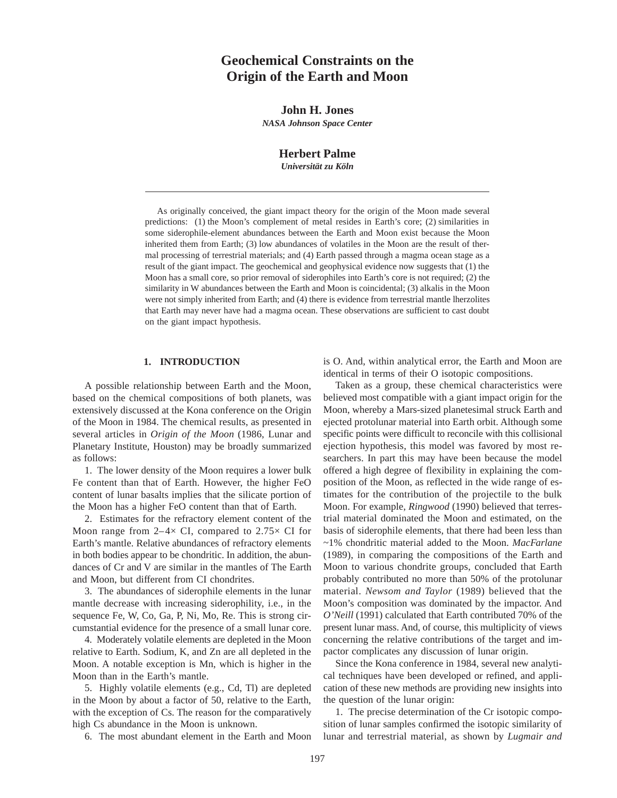# **Geochemical Constraints on the Origin of the Earth and Moon**

# **John H. Jones**

*NASA Johnson Space Center*

## **Herbert Palme** *Universität zu Köln*

As originally conceived, the giant impact theory for the origin of the Moon made several predictions: (1) the Moon's complement of metal resides in Earth's core; (2) similarities in some siderophile-element abundances between the Earth and Moon exist because the Moon inherited them from Earth; (3) low abundances of volatiles in the Moon are the result of thermal processing of terrestrial materials; and (4) Earth passed through a magma ocean stage as a result of the giant impact. The geochemical and geophysical evidence now suggests that (1) the Moon has a small core, so prior removal of siderophiles into Earth's core is not required; (2) the similarity in W abundances between the Earth and Moon is coincidental; (3) alkalis in the Moon were not simply inherited from Earth; and (4) there is evidence from terrestrial mantle lherzolites that Earth may never have had a magma ocean. These observations are sufficient to cast doubt on the giant impact hypothesis.

## **1. INTRODUCTION**

A possible relationship between Earth and the Moon, based on the chemical compositions of both planets, was extensively discussed at the Kona conference on the Origin of the Moon in 1984. The chemical results, as presented in several articles in *Origin of the Moon* (1986, Lunar and Planetary Institute, Houston) may be broadly summarized as follows:

1. The lower density of the Moon requires a lower bulk Fe content than that of Earth. However, the higher FeO content of lunar basalts implies that the silicate portion of the Moon has a higher FeO content than that of Earth.

2. Estimates for the refractory element content of the Moon range from  $2-4\times$  CI, compared to  $2.75\times$  CI for Earth's mantle. Relative abundances of refractory elements in both bodies appear to be chondritic. In addition, the abundances of Cr and V are similar in the mantles of The Earth and Moon, but different from CI chondrites.

3. The abundances of siderophile elements in the lunar mantle decrease with increasing siderophility, i.e., in the sequence Fe, W, Co, Ga, P, Ni, Mo, Re. This is strong circumstantial evidence for the presence of a small lunar core.

4. Moderately volatile elements are depleted in the Moon relative to Earth. Sodium, K, and Zn are all depleted in the Moon. A notable exception is Mn, which is higher in the Moon than in the Earth's mantle.

5. Highly volatile elements (e.g., Cd, Tl) are depleted in the Moon by about a factor of 50, relative to the Earth, with the exception of Cs. The reason for the comparatively high Cs abundance in the Moon is unknown.

6. The most abundant element in the Earth and Moon

is O. And, within analytical error, the Earth and Moon are identical in terms of their O isotopic compositions.

Taken as a group, these chemical characteristics were believed most compatible with a giant impact origin for the Moon, whereby a Mars-sized planetesimal struck Earth and ejected protolunar material into Earth orbit. Although some specific points were difficult to reconcile with this collisional ejection hypothesis, this model was favored by most researchers. In part this may have been because the model offered a high degree of flexibility in explaining the composition of the Moon, as reflected in the wide range of estimates for the contribution of the projectile to the bulk Moon. For example, *Ringwood* (1990) believed that terrestrial material dominated the Moon and estimated, on the basis of siderophile elements, that there had been less than ~1% chondritic material added to the Moon. *MacFarlane* (1989), in comparing the compositions of the Earth and Moon to various chondrite groups, concluded that Earth probably contributed no more than 50% of the protolunar material. *Newsom and Taylor* (1989) believed that the Moon's composition was dominated by the impactor. And *O'Neill* (1991) calculated that Earth contributed 70% of the present lunar mass. And, of course, this multiplicity of views concerning the relative contributions of the target and impactor complicates any discussion of lunar origin.

Since the Kona conference in 1984, several new analytical techniques have been developed or refined, and application of these new methods are providing new insights into the question of the lunar origin:

1. The precise determination of the Cr isotopic composition of lunar samples confirmed the isotopic similarity of lunar and terrestrial material, as shown by *Lugmair and*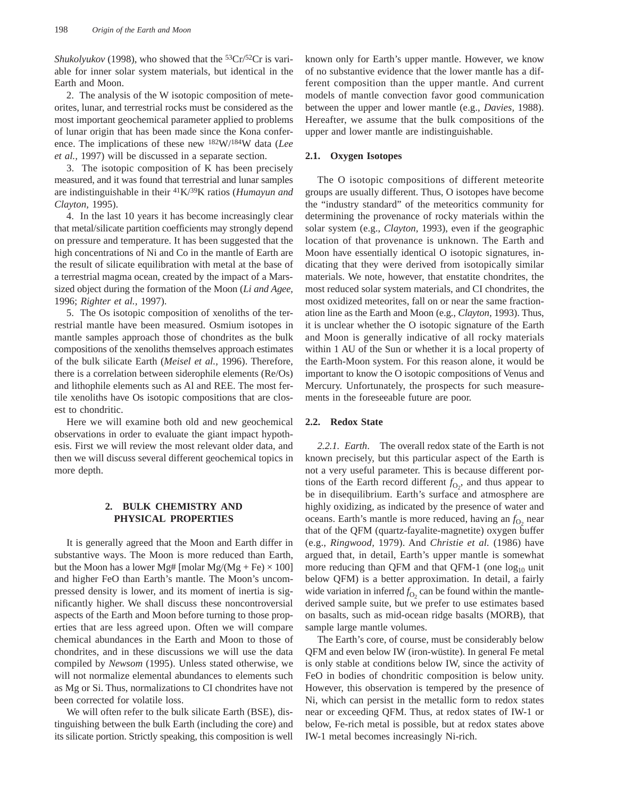*Shukolyukov* (1998), who showed that the <sup>53</sup>Cr/<sup>52</sup>Cr is variable for inner solar system materials, but identical in the Earth and Moon.

2. The analysis of the W isotopic composition of meteorites, lunar, and terrestrial rocks must be considered as the most important geochemical parameter applied to problems of lunar origin that has been made since the Kona conference. The implications of these new 182W/184W data (*Lee et al.,* 1997) will be discussed in a separate section.

3. The isotopic composition of K has been precisely measured, and it was found that terrestrial and lunar samples are indistinguishable in their 41K/39K ratios (*Humayun and Clayton,* 1995).

4. In the last 10 years it has become increasingly clear that metal/silicate partition coefficients may strongly depend on pressure and temperature. It has been suggested that the high concentrations of Ni and Co in the mantle of Earth are the result of silicate equilibration with metal at the base of a terrestrial magma ocean, created by the impact of a Marssized object during the formation of the Moon (*Li and Agee,* 1996; *Righter et al.,* 1997).

5. The Os isotopic composition of xenoliths of the terrestrial mantle have been measured. Osmium isotopes in mantle samples approach those of chondrites as the bulk compositions of the xenoliths themselves approach estimates of the bulk silicate Earth (*Meisel et al.,* 1996). Therefore, there is a correlation between siderophile elements (Re/Os) and lithophile elements such as Al and REE. The most fertile xenoliths have Os isotopic compositions that are closest to chondritic.

Here we will examine both old and new geochemical observations in order to evaluate the giant impact hypothesis. First we will review the most relevant older data, and then we will discuss several different geochemical topics in more depth.

# **2. BULK CHEMISTRY AND PHYSICAL PROPERTIES**

It is generally agreed that the Moon and Earth differ in substantive ways. The Moon is more reduced than Earth, but the Moon has a lower Mg# [molar Mg/(Mg + Fe)  $\times$  100] and higher FeO than Earth's mantle. The Moon's uncompressed density is lower, and its moment of inertia is significantly higher. We shall discuss these noncontroversial aspects of the Earth and Moon before turning to those properties that are less agreed upon. Often we will compare chemical abundances in the Earth and Moon to those of chondrites, and in these discussions we will use the data compiled by *Newsom* (1995). Unless stated otherwise, we will not normalize elemental abundances to elements such as Mg or Si. Thus, normalizations to CI chondrites have not been corrected for volatile loss.

We will often refer to the bulk silicate Earth (BSE), distinguishing between the bulk Earth (including the core) and its silicate portion. Strictly speaking, this composition is well known only for Earth's upper mantle. However, we know of no substantive evidence that the lower mantle has a different composition than the upper mantle. And current models of mantle convection favor good communication between the upper and lower mantle (e.g., *Davies,* 1988). Hereafter, we assume that the bulk compositions of the upper and lower mantle are indistinguishable.

### **2.1. Oxygen Isotopes**

The O isotopic compositions of different meteorite groups are usually different. Thus, O isotopes have become the "industry standard" of the meteoritics community for determining the provenance of rocky materials within the solar system (e.g., *Clayton,* 1993), even if the geographic location of that provenance is unknown. The Earth and Moon have essentially identical O isotopic signatures, indicating that they were derived from isotopically similar materials. We note, however, that enstatite chondrites, the most reduced solar system materials, and CI chondrites, the most oxidized meteorites, fall on or near the same fractionation line as the Earth and Moon (e.g., *Clayton,* 1993). Thus, it is unclear whether the O isotopic signature of the Earth and Moon is generally indicative of all rocky materials within 1 AU of the Sun or whether it is a local property of the Earth-Moon system. For this reason alone, it would be important to know the O isotopic compositions of Venus and Mercury. Unfortunately, the prospects for such measurements in the foreseeable future are poor.

### **2.2. Redox State**

*2.2.1. Earth*. The overall redox state of the Earth is not known precisely, but this particular aspect of the Earth is not a very useful parameter. This is because different portions of the Earth record different  $f_{O_2}$ , and thus appear to be in disequilibrium. Earth's surface and atmosphere are highly oxidizing, as indicated by the presence of water and oceans. Earth's mantle is more reduced, having an  $f_{O_2}$  near that of the QFM (quartz-fayalite-magnetite) oxygen buffer (e.g., *Ringwood,* 1979). And *Christie et al.* (1986) have argued that, in detail, Earth's upper mantle is somewhat more reducing than QFM and that QFM-1 (one  $log_{10}$  unit below QFM) is a better approximation. In detail, a fairly wide variation in inferred  $f_{O_2}$  can be found within the mantlederived sample suite, but we prefer to use estimates based on basalts, such as mid-ocean ridge basalts (MORB), that sample large mantle volumes.

The Earth's core, of course, must be considerably below QFM and even below IW (iron-wüstite). In general Fe metal is only stable at conditions below IW, since the activity of FeO in bodies of chondritic composition is below unity. However, this observation is tempered by the presence of Ni, which can persist in the metallic form to redox states near or exceeding QFM. Thus, at redox states of IW-1 or below, Fe-rich metal is possible, but at redox states above IW-1 metal becomes increasingly Ni-rich.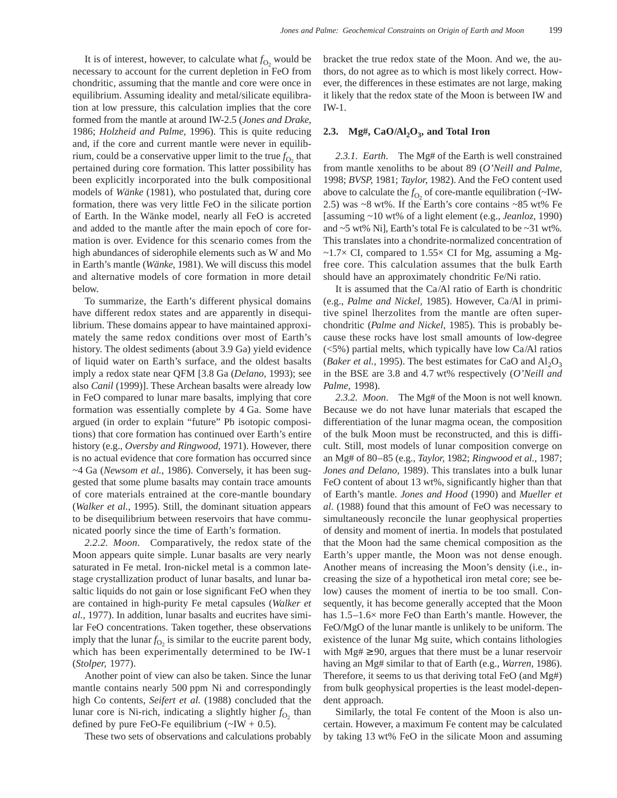It is of interest, however, to calculate what  $f_{O_2}$  would be necessary to account for the current depletion in FeO from chondritic, assuming that the mantle and core were once in equilibrium. Assuming ideality and metal/silicate equilibration at low pressure, this calculation implies that the core formed from the mantle at around IW-2.5 (*Jones and Drake,* 1986; *Holzheid and Palme,* 1996). This is quite reducing and, if the core and current mantle were never in equilibrium, could be a conservative upper limit to the true  $f_{O_2}$  that pertained during core formation. This latter possibility has been explicitly incorporated into the bulk compositional models of *Wänke* (1981), who postulated that, during core formation, there was very little FeO in the silicate portion of Earth. In the Wänke model, nearly all FeO is accreted and added to the mantle after the main epoch of core formation is over. Evidence for this scenario comes from the high abundances of siderophile elements such as W and Mo in Earth's mantle (*Wänke,* 1981). We will discuss this model and alternative models of core formation in more detail below.

To summarize, the Earth's different physical domains have different redox states and are apparently in disequilibrium. These domains appear to have maintained approximately the same redox conditions over most of Earth's history. The oldest sediments (about 3.9 Ga) yield evidence of liquid water on Earth's surface, and the oldest basalts imply a redox state near QFM [3.8 Ga (*Delano,* 1993); see also *Canil* (1999)]. These Archean basalts were already low in FeO compared to lunar mare basalts, implying that core formation was essentially complete by 4 Ga. Some have argued (in order to explain "future" Pb isotopic compositions) that core formation has continued over Earth's entire history (e.g., *Oversby and Ringwood,* 1971). However, there is no actual evidence that core formation has occurred since ~4 Ga (*Newsom et al.,* 1986). Conversely, it has been suggested that some plume basalts may contain trace amounts of core materials entrained at the core-mantle boundary (*Walker et al.,* 1995). Still, the dominant situation appears to be disequilibrium between reservoirs that have communicated poorly since the time of Earth's formation.

*2.2.2. Moon*. Comparatively, the redox state of the Moon appears quite simple. Lunar basalts are very nearly saturated in Fe metal. Iron-nickel metal is a common latestage crystallization product of lunar basalts, and lunar basaltic liquids do not gain or lose significant FeO when they are contained in high-purity Fe metal capsules (*Walker et al.,* 1977). In addition, lunar basalts and eucrites have similar FeO concentrations. Taken together, these observations imply that the lunar  $f_{O_2}$  is similar to the eucrite parent body, which has been experimentally determined to be IW-1 (*Stolper,* 1977).

Another point of view can also be taken. Since the lunar mantle contains nearly 500 ppm Ni and correspondingly high Co contents, *Seifert et al.* (1988) concluded that the lunar core is Ni-rich, indicating a slightly higher  $f_{O_2}$  than defined by pure FeO-Fe equilibrium  $(\sim IW + 0.5)$ .

These two sets of observations and calculations probably

bracket the true redox state of the Moon. And we, the authors, do not agree as to which is most likely correct. However, the differences in these estimates are not large, making it likely that the redox state of the Moon is between IW and IW-1.

## 2.3. Mg#, CaO/Al<sub>2</sub>O<sub>3</sub>, and Total Iron

*2.3.1. Earth*. The Mg# of the Earth is well constrained from mantle xenoliths to be about 89 (*O'Neill and Palme,* 1998; *BVSP,* 1981; *Taylor,* 1982). And the FeO content used above to calculate the  $f_{\text{O}_2}$  of core-mantle equilibration (~IW-2.5) was  $\sim$ 8 wt%. If the Earth's core contains  $\sim$ 85 wt% Fe [assuming ~10 wt% of a light element (e.g., *Jeanloz,* 1990) and  $\sim$  5 wt% Ni], Earth's total Fe is calculated to be  $\sim$  31 wt%. This translates into a chondrite-normalized concentration of  $\sim$ 1.7× CI, compared to 1.55× CI for Mg, assuming a Mgfree core. This calculation assumes that the bulk Earth should have an approximately chondritic Fe/Ni ratio.

It is assumed that the Ca/Al ratio of Earth is chondritic (e.g., *Palme and Nickel,* 1985). However, Ca/Al in primitive spinel lherzolites from the mantle are often superchondritic (*Palme and Nickel,* 1985). This is probably because these rocks have lost small amounts of low-degree (<5%) partial melts, which typically have low Ca/Al ratios (*Baker et al.,* 1995). The best estimates for CaO and  $Al_2O_3$ in the BSE are 3.8 and 4.7 wt% respectively (*O'Neill and Palme,* 1998).

*2.3.2. Moon*. The Mg# of the Moon is not well known. Because we do not have lunar materials that escaped the differentiation of the lunar magma ocean, the composition of the bulk Moon must be reconstructed, and this is difficult. Still, most models of lunar composition converge on an Mg# of 80–85 (e.g., *Taylor,* 1982; *Ringwood et al.,* 1987; *Jones and Delano,* 1989). This translates into a bulk lunar FeO content of about 13 wt%, significantly higher than that of Earth's mantle. *Jones and Hood* (1990) and *Mueller et al.* (1988) found that this amount of FeO was necessary to simultaneously reconcile the lunar geophysical properties of density and moment of inertia. In models that postulated that the Moon had the same chemical composition as the Earth's upper mantle, the Moon was not dense enough. Another means of increasing the Moon's density (i.e., increasing the size of a hypothetical iron metal core; see below) causes the moment of inertia to be too small. Consequently, it has become generally accepted that the Moon has 1.5–1.6× more FeO than Earth's mantle. However, the FeO/MgO of the lunar mantle is unlikely to be uniform. The existence of the lunar Mg suite, which contains lithologies with Mg#  $\geq$  90, argues that there must be a lunar reservoir having an Mg# similar to that of Earth (e.g., *Warren,* 1986). Therefore, it seems to us that deriving total FeO (and Mg#) from bulk geophysical properties is the least model-dependent approach.

Similarly, the total Fe content of the Moon is also uncertain. However, a maximum Fe content may be calculated by taking 13 wt% FeO in the silicate Moon and assuming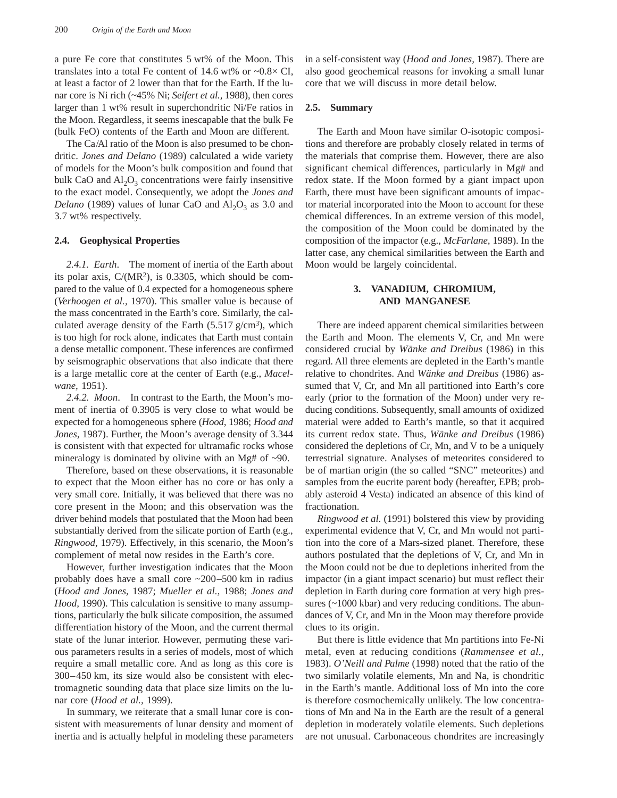a pure Fe core that constitutes 5 wt% of the Moon. This translates into a total Fe content of 14.6 wt% or  $\sim 0.8 \times$  CI, at least a factor of 2 lower than that for the Earth. If the lunar core is Ni rich (~45% Ni; *Seifert et al.,* 1988), then cores larger than 1 wt% result in superchondritic Ni/Fe ratios in the Moon. Regardless, it seems inescapable that the bulk Fe (bulk FeO) contents of the Earth and Moon are different.

The Ca/Al ratio of the Moon is also presumed to be chondritic. *Jones and Delano* (1989) calculated a wide variety of models for the Moon's bulk composition and found that bulk CaO and  $Al_2O_3$  concentrations were fairly insensitive to the exact model. Consequently, we adopt the *Jones and Delano* (1989) values of lunar CaO and  $Al_2O_3$  as 3.0 and 3.7 wt% respectively.

#### **2.4. Geophysical Properties**

*2.4.1. Earth*. The moment of inertia of the Earth about its polar axis,  $C/(MR^2)$ , is 0.3305, which should be compared to the value of 0.4 expected for a homogeneous sphere (*Verhoogen et al.,* 1970). This smaller value is because of the mass concentrated in the Earth's core. Similarly, the calculated average density of the Earth  $(5.517 \text{ g/cm}^3)$ , which is too high for rock alone, indicates that Earth must contain a dense metallic component. These inferences are confirmed by seismographic observations that also indicate that there is a large metallic core at the center of Earth (e.g., *Macelwane,* 1951).

*2.4.2. Moon*. In contrast to the Earth, the Moon's moment of inertia of 0.3905 is very close to what would be expected for a homogeneous sphere (*Hood,* 1986; *Hood and Jones,* 1987). Further, the Moon's average density of 3.344 is consistent with that expected for ultramafic rocks whose mineralogy is dominated by olivine with an Mg# of  $\sim$ 90.

Therefore, based on these observations, it is reasonable to expect that the Moon either has no core or has only a very small core. Initially, it was believed that there was no core present in the Moon; and this observation was the driver behind models that postulated that the Moon had been substantially derived from the silicate portion of Earth (e.g., *Ringwood,* 1979). Effectively, in this scenario, the Moon's complement of metal now resides in the Earth's core.

However, further investigation indicates that the Moon probably does have a small core ~200–500 km in radius (*Hood and Jones,* 1987; *Mueller et al.,* 1988; *Jones and Hood,* 1990). This calculation is sensitive to many assumptions, particularly the bulk silicate composition, the assumed differentiation history of the Moon, and the current thermal state of the lunar interior. However, permuting these various parameters results in a series of models, most of which require a small metallic core. And as long as this core is 300–450 km, its size would also be consistent with electromagnetic sounding data that place size limits on the lunar core (*Hood et al.,* 1999).

In summary, we reiterate that a small lunar core is consistent with measurements of lunar density and moment of inertia and is actually helpful in modeling these parameters in a self-consistent way (*Hood and Jones,* 1987). There are also good geochemical reasons for invoking a small lunar core that we will discuss in more detail below.

#### **2.5. Summary**

The Earth and Moon have similar O-isotopic compositions and therefore are probably closely related in terms of the materials that comprise them. However, there are also significant chemical differences, particularly in Mg# and redox state. If the Moon formed by a giant impact upon Earth, there must have been significant amounts of impactor material incorporated into the Moon to account for these chemical differences. In an extreme version of this model, the composition of the Moon could be dominated by the composition of the impactor (e.g., *McFarlane,* 1989). In the latter case, any chemical similarities between the Earth and Moon would be largely coincidental.

# **3. VANADIUM, CHROMIUM, AND MANGANESE**

There are indeed apparent chemical similarities between the Earth and Moon. The elements V, Cr, and Mn were considered crucial by *Wänke and Dreibus* (1986) in this regard. All three elements are depleted in the Earth's mantle relative to chondrites. And *Wänke and Dreibus* (1986) assumed that V, Cr, and Mn all partitioned into Earth's core early (prior to the formation of the Moon) under very reducing conditions. Subsequently, small amounts of oxidized material were added to Earth's mantle, so that it acquired its current redox state. Thus, *Wänke and Dreibus* (1986) considered the depletions of Cr, Mn, and V to be a uniquely terrestrial signature. Analyses of meteorites considered to be of martian origin (the so called "SNC" meteorites) and samples from the eucrite parent body (hereafter, EPB; probably asteroid 4 Vesta) indicated an absence of this kind of fractionation.

*Ringwood et al.* (1991) bolstered this view by providing experimental evidence that V, Cr, and Mn would not partition into the core of a Mars-sized planet. Therefore, these authors postulated that the depletions of V, Cr, and Mn in the Moon could not be due to depletions inherited from the impactor (in a giant impact scenario) but must reflect their depletion in Earth during core formation at very high pressures (~1000 kbar) and very reducing conditions. The abundances of V, Cr, and Mn in the Moon may therefore provide clues to its origin.

But there is little evidence that Mn partitions into Fe-Ni metal, even at reducing conditions (*Rammensee et al.,* 1983). *O'Neill and Palme* (1998) noted that the ratio of the two similarly volatile elements, Mn and Na, is chondritic in the Earth's mantle. Additional loss of Mn into the core is therefore cosmochemically unlikely. The low concentrations of Mn and Na in the Earth are the result of a general depletion in moderately volatile elements. Such depletions are not unusual. Carbonaceous chondrites are increasingly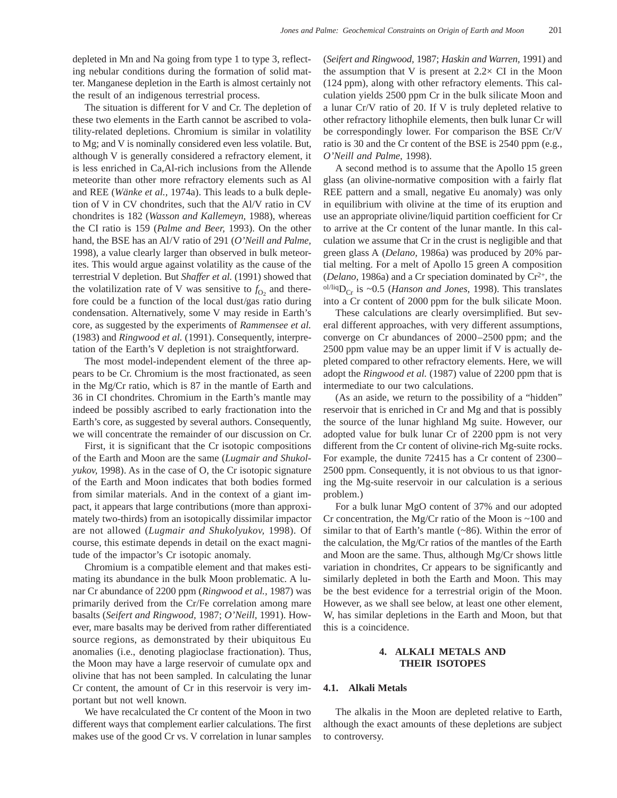depleted in Mn and Na going from type 1 to type 3, reflecting nebular conditions during the formation of solid matter. Manganese depletion in the Earth is almost certainly not the result of an indigenous terrestrial process.

The situation is different for V and Cr. The depletion of these two elements in the Earth cannot be ascribed to volatility-related depletions. Chromium is similar in volatility to Mg; and V is nominally considered even less volatile. But, although V is generally considered a refractory element, it is less enriched in Ca,Al-rich inclusions from the Allende meteorite than other more refractory elements such as Al and REE (*Wänke et al.,* 1974a). This leads to a bulk depletion of V in CV chondrites, such that the Al/V ratio in CV chondrites is 182 (*Wasson and Kallemeyn,* 1988), whereas the CI ratio is 159 (*Palme and Beer,* 1993). On the other hand, the BSE has an Al/V ratio of 291 (*O'Neill and Palme,* 1998), a value clearly larger than observed in bulk meteorites. This would argue against volatility as the cause of the terrestrial V depletion. But *Shaffer et al.* (1991) showed that the volatilization rate of V was sensitive to  $f_{O_2}$  and therefore could be a function of the local dust/gas ratio during condensation. Alternatively, some V may reside in Earth's core, as suggested by the experiments of *Rammensee et al.* (1983) and *Ringwood et al.* (1991). Consequently, interpretation of the Earth's V depletion is not straightforward.

The most model-independent element of the three appears to be Cr. Chromium is the most fractionated, as seen in the Mg/Cr ratio, which is 87 in the mantle of Earth and 36 in CI chondrites. Chromium in the Earth's mantle may indeed be possibly ascribed to early fractionation into the Earth's core, as suggested by several authors. Consequently, we will concentrate the remainder of our discussion on Cr.

First, it is significant that the Cr isotopic compositions of the Earth and Moon are the same (*Lugmair and Shukolyukov,* 1998). As in the case of O, the Cr isotopic signature of the Earth and Moon indicates that both bodies formed from similar materials. And in the context of a giant impact, it appears that large contributions (more than approximately two-thirds) from an isotopically dissimilar impactor are not allowed (*Lugmair and Shukolyukov,* 1998). Of course, this estimate depends in detail on the exact magnitude of the impactor's Cr isotopic anomaly.

Chromium is a compatible element and that makes estimating its abundance in the bulk Moon problematic. A lunar Cr abundance of 2200 ppm (*Ringwood et al.,* 1987) was primarily derived from the Cr/Fe correlation among mare basalts (*Seifert and Ringwood,* 1987; *O'Neill,* 1991). However, mare basalts may be derived from rather differentiated source regions, as demonstrated by their ubiquitous Eu anomalies (i.e., denoting plagioclase fractionation). Thus, the Moon may have a large reservoir of cumulate opx and olivine that has not been sampled. In calculating the lunar Cr content, the amount of Cr in this reservoir is very important but not well known.

We have recalculated the Cr content of the Moon in two different ways that complement earlier calculations. The first makes use of the good Cr vs. V correlation in lunar samples (*Seifert and Ringwood,* 1987; *Haskin and Warren,* 1991) and the assumption that V is present at  $2.2 \times$  CI in the Moon (124 ppm), along with other refractory elements. This calculation yields 2500 ppm Cr in the bulk silicate Moon and a lunar Cr/V ratio of 20. If V is truly depleted relative to other refractory lithophile elements, then bulk lunar Cr will be correspondingly lower. For comparison the BSE Cr/V ratio is 30 and the Cr content of the BSE is 2540 ppm (e.g., *O'Neill and Palme,* 1998).

A second method is to assume that the Apollo 15 green glass (an olivine-normative composition with a fairly flat REE pattern and a small, negative Eu anomaly) was only in equilibrium with olivine at the time of its eruption and use an appropriate olivine/liquid partition coefficient for Cr to arrive at the Cr content of the lunar mantle. In this calculation we assume that Cr in the crust is negligible and that green glass A (*Delano,* 1986a) was produced by 20% partial melting. For a melt of Apollo 15 green A composition (*Delano,* 1986a) and a Cr speciation dominated by Cr2+, the  $\omega$ <sup>ol/liq</sup>D<sub>Cr</sub> is ~0.5 (*Hanson and Jones*, 1998). This translates into a Cr content of 2000 ppm for the bulk silicate Moon.

These calculations are clearly oversimplified. But several different approaches, with very different assumptions, converge on Cr abundances of 2000–2500 ppm; and the 2500 ppm value may be an upper limit if V is actually depleted compared to other refractory elements. Here, we will adopt the *Ringwood et al.* (1987) value of 2200 ppm that is intermediate to our two calculations.

(As an aside, we return to the possibility of a "hidden" reservoir that is enriched in Cr and Mg and that is possibly the source of the lunar highland Mg suite. However, our adopted value for bulk lunar Cr of 2200 ppm is not very different from the Cr content of olivine-rich Mg-suite rocks. For example, the dunite 72415 has a Cr content of 2300– 2500 ppm. Consequently, it is not obvious to us that ignoring the Mg-suite reservoir in our calculation is a serious problem.)

For a bulk lunar MgO content of 37% and our adopted Cr concentration, the Mg/Cr ratio of the Moon is  $\sim$ 100 and similar to that of Earth's mantle (~86). Within the error of the calculation, the Mg/Cr ratios of the mantles of the Earth and Moon are the same. Thus, although Mg/Cr shows little variation in chondrites, Cr appears to be significantly and similarly depleted in both the Earth and Moon. This may be the best evidence for a terrestrial origin of the Moon. However, as we shall see below, at least one other element, W, has similar depletions in the Earth and Moon, but that this is a coincidence.

# **4. ALKALI METALS AND THEIR ISOTOPES**

## **4.1. Alkali Metals**

The alkalis in the Moon are depleted relative to Earth, although the exact amounts of these depletions are subject to controversy.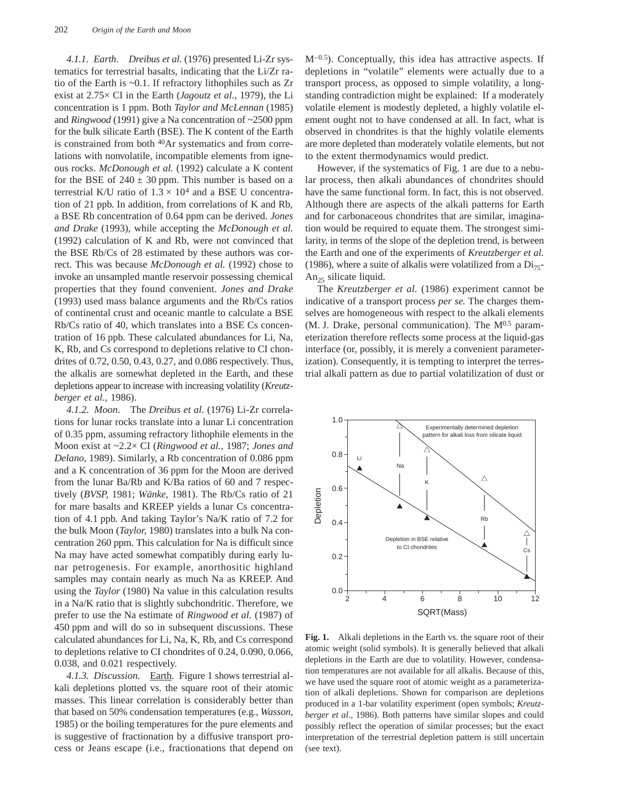*4.1.1. Earth*. *Dreibus et al.* (1976) presented Li-Zr systematics for terrestrial basalts, indicating that the Li/Zr ratio of the Earth is ~0.1. If refractory lithophiles such as Zr exist at 2.75× CI in the Earth (*Jagoutz et al.,* 1979), the Li concentration is 1 ppm. Both *Taylor and McLennan* (1985) and *Ringwood* (1991) give a Na concentration of ~2500 ppm for the bulk silicate Earth (BSE). The K content of the Earth is constrained from both 40Ar systematics and from correlations with nonvolatile, incompatible elements from igneous rocks. *McDonough et al.* (1992) calculate a K content for the BSE of  $240 \pm 30$  ppm. This number is based on a terrestrial K/U ratio of  $1.3 \times 10^4$  and a BSE U concentration of 21 ppb. In addition, from correlations of K and Rb, a BSE Rb concentration of 0.64 ppm can be derived. *Jones and Drake* (1993), while accepting the *McDonough et al.* (1992) calculation of K and Rb, were not convinced that the BSE Rb/Cs of 28 estimated by these authors was correct. This was because *McDonough et al.* (1992) chose to invoke an unsampled mantle reservoir possessing chemical properties that they found convenient. *Jones and Drake* (1993) used mass balance arguments and the Rb/Cs ratios of continental crust and oceanic mantle to calculate a BSE Rb/Cs ratio of 40, which translates into a BSE Cs concentration of 16 ppb. These calculated abundances for Li, Na, K, Rb, and Cs correspond to depletions relative to CI chondrites of 0.72, 0.50, 0.43, 0.27, and 0.086 respectively. Thus, the alkalis are somewhat depleted in the Earth, and these depletions appear to increase with increasing volatility (*Kreutzberger et al.,* 1986).

*4.1.2. Moon*. The *Dreibus et al.* (1976) Li-Zr correlations for lunar rocks translate into a lunar Li concentration of 0.35 ppm, assuming refractory lithophile elements in the Moon exist at ~2.2× CI (*Ringwood et al.,* 1987; *Jones and Delano,* 1989). Similarly, a Rb concentration of 0.086 ppm and a K concentration of 36 ppm for the Moon are derived from the lunar Ba/Rb and K/Ba ratios of 60 and 7 respectively (*BVSP,* 1981; *Wänke,* 1981). The Rb/Cs ratio of 21 for mare basalts and KREEP yields a lunar Cs concentration of 4.1 ppb. And taking Taylor's Na/K ratio of 7.2 for the bulk Moon (*Taylor,* 1980) translates into a bulk Na concentration 260 ppm. This calculation for Na is difficult since Na may have acted somewhat compatibly during early lunar petrogenesis. For example, anorthositic highland samples may contain nearly as much Na as KREEP. And using the *Taylor* (1980) Na value in this calculation results in a Na/K ratio that is slightly subchondritic. Therefore, we prefer to use the Na estimate of *Ringwood et al.* (1987) of 450 ppm and will do so in subsequent discussions. These calculated abundances for Li, Na, K, Rb, and Cs correspond to depletions relative to CI chondrites of 0.24, 0.090, 0.066, 0.038, and 0.021 respectively.

*4.1.3. Discussion*. Earth. Figure 1 shows terrestrial alkali depletions plotted vs. the square root of their atomic masses. This linear correlation is considerably better than that based on 50% condensation temperatures (e.g., *Wasson,* 1985) or the boiling temperatures for the pure elements and is suggestive of fractionation by a diffusive transport process or Jeans escape (i.e., fractionations that depend on M–0.5). Conceptually, this idea has attractive aspects. If depletions in "volatile" elements were actually due to a transport process, as opposed to simple volatility, a longstanding contradiction might be explained: If a moderately volatile element is modestly depleted, a highly volatile element ought not to have condensed at all. In fact, what is observed in chondrites is that the highly volatile elements are more depleted than moderately volatile elements, but not to the extent thermodynamics would predict.

However, if the systematics of Fig. 1 are due to a nebular process, then alkali abundances of chondrites should have the same functional form. In fact, this is not observed. Although there are aspects of the alkali patterns for Earth and for carbonaceous chondrites that are similar, imagination would be required to equate them. The strongest similarity, in terms of the slope of the depletion trend, is between the Earth and one of the experiments of *Kreutzberger et al.* (1986), where a suite of alkalis were volatilized from a  $Di_{75}$ -An<sub>25</sub> silicate liquid.

The *Kreutzberger et al.* (1986) experiment cannot be indicative of a transport process *per se.* The charges themselves are homogeneous with respect to the alkali elements (M. J. Drake, personal communication). The  $M^{0.5}$  parameterization therefore reflects some process at the liquid-gas interface (or, possibly, it is merely a convenient parameterization). Consequently, it is tempting to interpret the terrestrial alkali pattern as due to partial volatilization of dust or



**Fig. 1.** Alkali depletions in the Earth vs. the square root of their atomic weight (solid symbols). It is generally believed that alkali depletions in the Earth are due to volatility. However, condensation temperatures are not available for all alkalis. Because of this, we have used the square root of atomic weight as a parameterization of alkali depletions. Shown for comparison are depletions produced in a 1-bar volatility experiment (open symbols; *Kreutzberger et al.,* 1986). Both patterns have similar slopes and could possibly reflect the operation of similar processes; but the exact interpretation of the terrestrial depletion pattern is still uncertain (see text).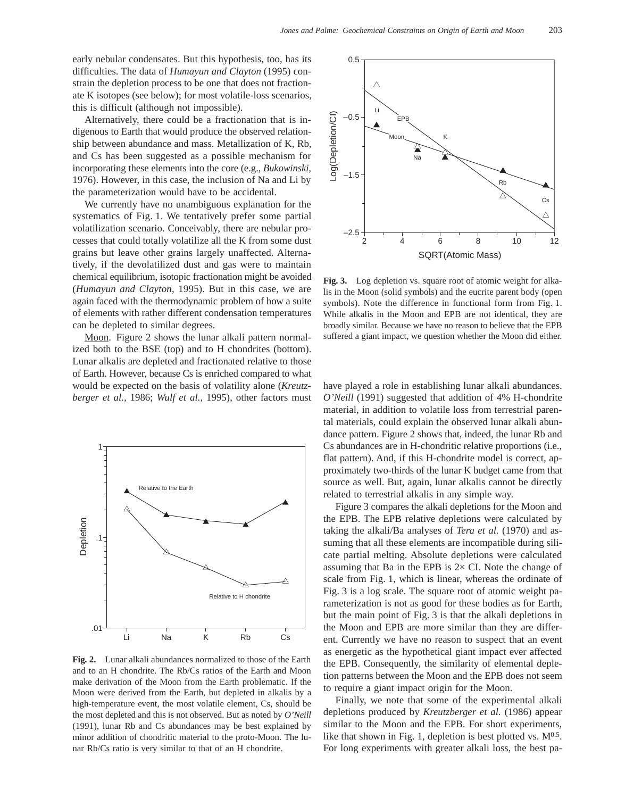early nebular condensates. But this hypothesis, too, has its difficulties. The data of *Humayun and Clayton* (1995) constrain the depletion process to be one that does not fractionate K isotopes (see below); for most volatile-loss scenarios, this is difficult (although not impossible).

Alternatively, there could be a fractionation that is indigenous to Earth that would produce the observed relationship between abundance and mass. Metallization of K, Rb, and Cs has been suggested as a possible mechanism for incorporating these elements into the core (e.g., *Bukowinski,* 1976). However, in this case, the inclusion of Na and Li by the parameterization would have to be accidental.

We currently have no unambiguous explanation for the systematics of Fig. 1. We tentatively prefer some partial volatilization scenario. Conceivably, there are nebular processes that could totally volatilize all the K from some dust grains but leave other grains largely unaffected. Alternatively, if the devolatilized dust and gas were to maintain chemical equilibrium, isotopic fractionation might be avoided (*Humayun and Clayton,* 1995). But in this case, we are again faced with the thermodynamic problem of how a suite of elements with rather different condensation temperatures can be depleted to similar degrees.

Moon. Figure 2 shows the lunar alkali pattern normalized both to the BSE (top) and to H chondrites (bottom). Lunar alkalis are depleted and fractionated relative to those of Earth. However, because Cs is enriched compared to what would be expected on the basis of volatility alone (*Kreutzberger et al.,* 1986; *Wulf et al.,* 1995), other factors must



**Fig. 2.** Lunar alkali abundances normalized to those of the Earth and to an H chondrite. The Rb/Cs ratios of the Earth and Moon make derivation of the Moon from the Earth problematic. If the Moon were derived from the Earth, but depleted in alkalis by a high-temperature event, the most volatile element, Cs, should be the most depleted and this is not observed. But as noted by *O'Neill* (1991), lunar Rb and Cs abundances may be best explained by minor addition of chondritic material to the proto-Moon. The lunar Rb/Cs ratio is very similar to that of an H chondrite.



**Fig. 3.** Log depletion vs. square root of atomic weight for alkalis in the Moon (solid symbols) and the eucrite parent body (open symbols). Note the difference in functional form from Fig. 1. While alkalis in the Moon and EPB are not identical, they are broadly similar. Because we have no reason to believe that the EPB suffered a giant impact, we question whether the Moon did either.

have played a role in establishing lunar alkali abundances. *O'Neill* (1991) suggested that addition of 4% H-chondrite material, in addition to volatile loss from terrestrial parental materials, could explain the observed lunar alkali abundance pattern. Figure 2 shows that, indeed, the lunar Rb and Cs abundances are in H-chondritic relative proportions (i.e., flat pattern). And, if this H-chondrite model is correct, approximately two-thirds of the lunar K budget came from that source as well. But, again, lunar alkalis cannot be directly related to terrestrial alkalis in any simple way.

Figure 3 compares the alkali depletions for the Moon and the EPB. The EPB relative depletions were calculated by taking the alkali/Ba analyses of *Tera et al.* (1970) and assuming that all these elements are incompatible during silicate partial melting. Absolute depletions were calculated assuming that Ba in the EPB is  $2 \times$  CI. Note the change of scale from Fig. 1, which is linear, whereas the ordinate of Fig. 3 is a log scale. The square root of atomic weight parameterization is not as good for these bodies as for Earth, but the main point of Fig. 3 is that the alkali depletions in the Moon and EPB are more similar than they are different. Currently we have no reason to suspect that an event as energetic as the hypothetical giant impact ever affected the EPB. Consequently, the similarity of elemental depletion patterns between the Moon and the EPB does not seem to require a giant impact origin for the Moon.

Finally, we note that some of the experimental alkali depletions produced by *Kreutzberger et al.* (1986) appear similar to the Moon and the EPB. For short experiments, like that shown in Fig. 1, depletion is best plotted vs.  $M^{0.5}$ . For long experiments with greater alkali loss, the best pa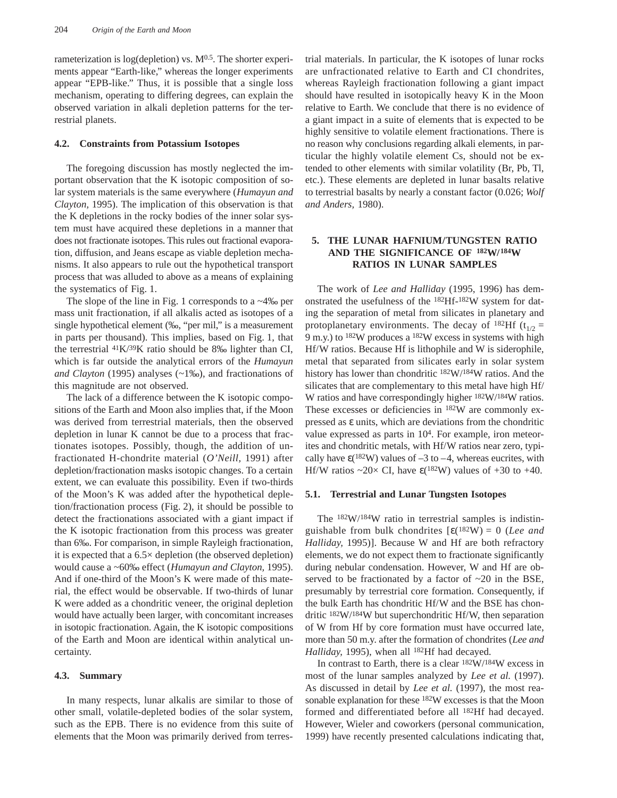rameterization is log(depletion) vs. M0.5. The shorter experiments appear "Earth-like," whereas the longer experiments appear "EPB-like." Thus, it is possible that a single loss mechanism, operating to differing degrees, can explain the observed variation in alkali depletion patterns for the terrestrial planets.

## **4.2. Constraints from Potassium Isotopes**

The foregoing discussion has mostly neglected the important observation that the K isotopic composition of solar system materials is the same everywhere (*Humayun and Clayton,* 1995). The implication of this observation is that the K depletions in the rocky bodies of the inner solar system must have acquired these depletions in a manner that does not fractionate isotopes. This rules out fractional evaporation, diffusion, and Jeans escape as viable depletion mechanisms. It also appears to rule out the hypothetical transport process that was alluded to above as a means of explaining the systematics of Fig. 1.

The slope of the line in Fig. 1 corresponds to a  $\sim$ 4‰ per mass unit fractionation, if all alkalis acted as isotopes of a single hypothetical element (‰, "per mil," is a measurement in parts per thousand). This implies, based on Fig. 1, that the terrestrial 41K/39K ratio should be 8‰ lighter than CI, which is far outside the analytical errors of the *Humayun and Clayton* (1995) analyses (~1‰), and fractionations of this magnitude are not observed.

The lack of a difference between the K isotopic compositions of the Earth and Moon also implies that, if the Moon was derived from terrestrial materials, then the observed depletion in lunar K cannot be due to a process that fractionates isotopes. Possibly, though, the addition of unfractionated H-chondrite material (*O'Neill,* 1991) after depletion/fractionation masks isotopic changes. To a certain extent, we can evaluate this possibility. Even if two-thirds of the Moon's K was added after the hypothetical depletion/fractionation process (Fig. 2), it should be possible to detect the fractionations associated with a giant impact if the K isotopic fractionation from this process was greater than 6‰. For comparison, in simple Rayleigh fractionation, it is expected that a 6.5× depletion (the observed depletion) would cause a ~60‰ effect (*Humayun and Clayton,* 1995). And if one-third of the Moon's K were made of this material, the effect would be observable. If two-thirds of lunar K were added as a chondritic veneer, the original depletion would have actually been larger, with concomitant increases in isotopic fractionation. Again, the K isotopic compositions of the Earth and Moon are identical within analytical uncertainty.

## **4.3. Summary**

In many respects, lunar alkalis are similar to those of other small, volatile-depleted bodies of the solar system, such as the EPB. There is no evidence from this suite of elements that the Moon was primarily derived from terres-

trial materials. In particular, the K isotopes of lunar rocks are unfractionated relative to Earth and CI chondrites, whereas Rayleigh fractionation following a giant impact should have resulted in isotopically heavy K in the Moon relative to Earth. We conclude that there is no evidence of a giant impact in a suite of elements that is expected to be highly sensitive to volatile element fractionations. There is no reason why conclusions regarding alkali elements, in particular the highly volatile element Cs, should not be extended to other elements with similar volatility (Br, Pb, Tl, etc.). These elements are depleted in lunar basalts relative to terrestrial basalts by nearly a constant factor (0.026; *Wolf and Anders,* 1980).

# **5. THE LUNAR HAFNIUM/TUNGSTEN RATIO AND THE SIGNIFICANCE OF 182W/184W RATIOS IN LUNAR SAMPLES**

The work of *Lee and Halliday* (1995, 1996) has demonstrated the usefulness of the 182Hf-182W system for dating the separation of metal from silicates in planetary and protoplanetary environments. The decay of  $^{182}$ Hf (t<sub>1/2</sub> = 9 m.y.) to 182W produces a 182W excess in systems with high Hf/W ratios. Because Hf is lithophile and W is siderophile, metal that separated from silicates early in solar system history has lower than chondritic 182W/184W ratios. And the silicates that are complementary to this metal have high Hf/ W ratios and have correspondingly higher 182W/184W ratios. These excesses or deficiencies in 182W are commonly expressed as ε units, which are deviations from the chondritic value expressed as parts in 104. For example, iron meteorites and chondritic metals, with Hf/W ratios near zero, typically have  $\varepsilon$ (182W) values of -3 to -4, whereas eucrites, with Hf/W ratios ~20× CI, have  $\varepsilon$ (182W) values of +30 to +40.

## **5.1. Terrestrial and Lunar Tungsten Isotopes**

The 182W/184W ratio in terrestrial samples is indistinguishable from bulk chondrites [ε(182W) = 0 (*Lee and Halliday,* 1995)]. Because W and Hf are both refractory elements, we do not expect them to fractionate significantly during nebular condensation. However, W and Hf are observed to be fractionated by a factor of  $\sim 20$  in the BSE, presumably by terrestrial core formation. Consequently, if the bulk Earth has chondritic Hf/W and the BSE has chondritic 182W/184W but superchondritic Hf/W, then separation of W from Hf by core formation must have occurred late, more than 50 m.y. after the formation of chondrites (*Lee and Halliday,* 1995), when all 182Hf had decayed.

In contrast to Earth, there is a clear 182W/184W excess in most of the lunar samples analyzed by *Lee et al.* (1997). As discussed in detail by *Lee et al.* (1997), the most reasonable explanation for these 182W excesses is that the Moon formed and differentiated before all 182Hf had decayed. However, Wieler and coworkers (personal communication, 1999) have recently presented calculations indicating that,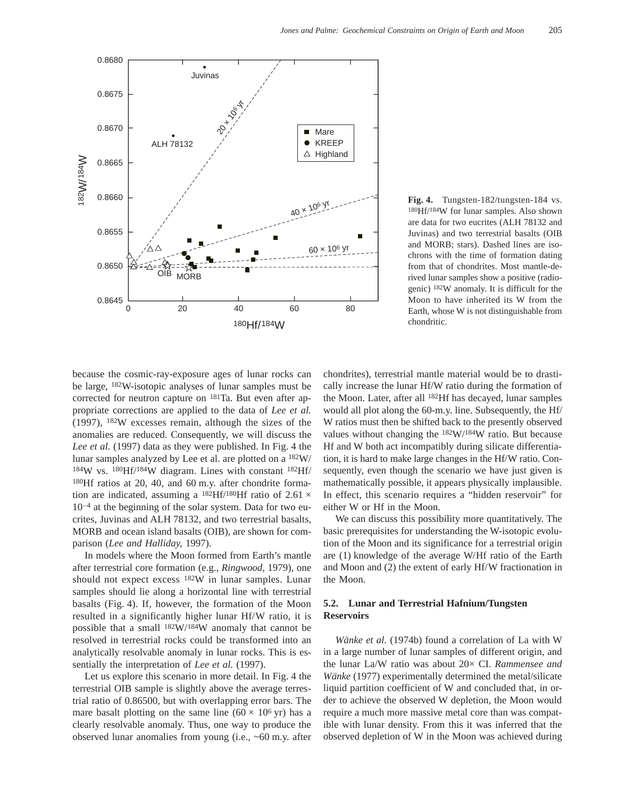

**Fig. 4.** Tungsten-182/tungsten-184 vs. 180Hf/184W for lunar samples. Also shown are data for two eucrites (ALH 78132 and Juvinas) and two terrestrial basalts (OIB and MORB; stars). Dashed lines are isochrons with the time of formation dating from that of chondrites. Most mantle-derived lunar samples show a positive (radiogenic) 182W anomaly. It is difficult for the Moon to have inherited its W from the Earth, whose W is not distinguishable from chondritic.

because the cosmic-ray-exposure ages of lunar rocks can be large, 182W-isotopic analyses of lunar samples must be corrected for neutron capture on 181Ta. But even after appropriate corrections are applied to the data of *Lee et al.* (1997), 182W excesses remain, although the sizes of the anomalies are reduced. Consequently, we will discuss the *Lee et al.* (1997) data as they were published. In Fig. 4 the lunar samples analyzed by Lee et al. are plotted on a 182W/ 184W vs. 180Hf/184W diagram. Lines with constant 182Hf/ 180Hf ratios at 20, 40, and 60 m.y. after chondrite formation are indicated, assuming a <sup>182</sup>Hf/<sup>180</sup>Hf ratio of 2.61  $\times$  $10^{-4}$  at the beginning of the solar system. Data for two eucrites, Juvinas and ALH 78132, and two terrestrial basalts, MORB and ocean island basalts (OIB), are shown for comparison (*Lee and Halliday,* 1997).

In models where the Moon formed from Earth's mantle after terrestrial core formation (e.g., *Ringwood,* 1979), one should not expect excess 182W in lunar samples. Lunar samples should lie along a horizontal line with terrestrial basalts (Fig. 4). If, however, the formation of the Moon resulted in a significantly higher lunar Hf/W ratio, it is possible that a small 182W/184W anomaly that cannot be resolved in terrestrial rocks could be transformed into an analytically resolvable anomaly in lunar rocks. This is essentially the interpretation of *Lee et al.* (1997).

Let us explore this scenario in more detail. In Fig. 4 the terrestrial OIB sample is slightly above the average terrestrial ratio of 0.86500, but with overlapping error bars. The mare basalt plotting on the same line ( $60 \times 10^6$  yr) has a clearly resolvable anomaly. Thus, one way to produce the observed lunar anomalies from young (i.e., ~60 m.y. after chondrites), terrestrial mantle material would be to drastically increase the lunar Hf/W ratio during the formation of the Moon. Later, after all 182Hf has decayed, lunar samples would all plot along the 60-m.y. line. Subsequently, the Hf/ W ratios must then be shifted back to the presently observed values without changing the 182W/184W ratio. But because Hf and W both act incompatibly during silicate differentiation, it is hard to make large changes in the Hf/W ratio. Consequently, even though the scenario we have just given is mathematically possible, it appears physically implausible. In effect, this scenario requires a "hidden reservoir" for either W or Hf in the Moon.

We can discuss this possibility more quantitatively. The basic prerequisites for understanding the W-isotopic evolution of the Moon and its significance for a terrestrial origin are (1) knowledge of the average W/Hf ratio of the Earth and Moon and (2) the extent of early Hf/W fractionation in the Moon.

# **5.2. Lunar and Terrestrial Hafnium/Tungsten Reservoirs**

*Wänke et al.* (1974b) found a correlation of La with W in a large number of lunar samples of different origin, and the lunar La/W ratio was about 20× CI. *Rammensee and Wänke* (1977) experimentally determined the metal/silicate liquid partition coefficient of W and concluded that, in order to achieve the observed W depletion, the Moon would require a much more massive metal core than was compatible with lunar density. From this it was inferred that the observed depletion of W in the Moon was achieved during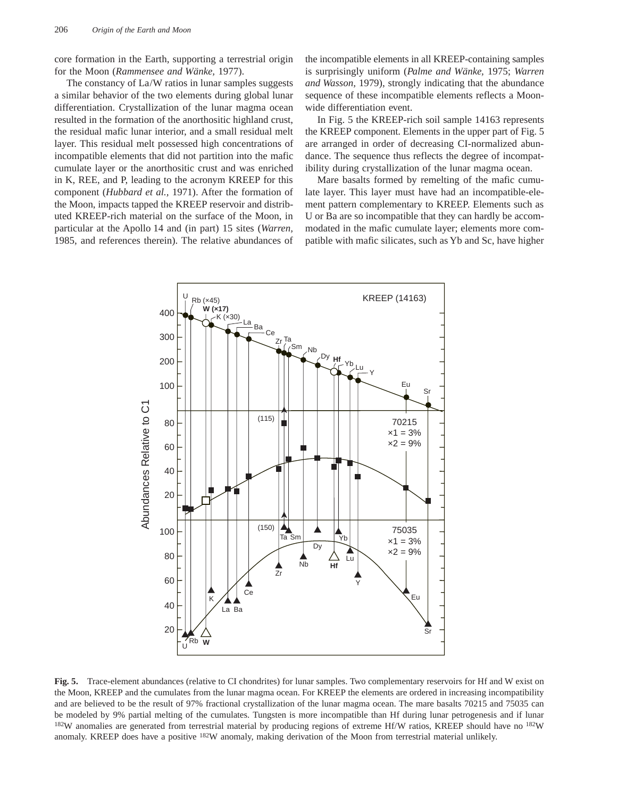core formation in the Earth, supporting a terrestrial origin for the Moon (*Rammensee and Wänke,* 1977).

The constancy of La/W ratios in lunar samples suggests a similar behavior of the two elements during global lunar differentiation. Crystallization of the lunar magma ocean resulted in the formation of the anorthositic highland crust, the residual mafic lunar interior, and a small residual melt layer. This residual melt possessed high concentrations of incompatible elements that did not partition into the mafic cumulate layer or the anorthositic crust and was enriched in K, REE, and P, leading to the acronym KREEP for this component (*Hubbard et al.,* 1971). After the formation of the Moon, impacts tapped the KREEP reservoir and distributed KREEP-rich material on the surface of the Moon, in particular at the Apollo 14 and (in part) 15 sites (*Warren,* 1985, and references therein). The relative abundances of

the incompatible elements in all KREEP-containing samples is surprisingly uniform (*Palme and Wänke,* 1975; *Warren and Wasson,* 1979), strongly indicating that the abundance sequence of these incompatible elements reflects a Moonwide differentiation event.

In Fig. 5 the KREEP-rich soil sample 14163 represents the KREEP component. Elements in the upper part of Fig. 5 are arranged in order of decreasing CI-normalized abundance. The sequence thus reflects the degree of incompatibility during crystallization of the lunar magma ocean.

Mare basalts formed by remelting of the mafic cumulate layer. This layer must have had an incompatible-element pattern complementary to KREEP. Elements such as U or Ba are so incompatible that they can hardly be accommodated in the mafic cumulate layer; elements more compatible with mafic silicates, such as Yb and Sc, have higher



**Fig. 5.** Trace-element abundances (relative to CI chondrites) for lunar samples. Two complementary reservoirs for Hf and W exist on the Moon, KREEP and the cumulates from the lunar magma ocean. For KREEP the elements are ordered in increasing incompatibility and are believed to be the result of 97% fractional crystallization of the lunar magma ocean. The mare basalts 70215 and 75035 can be modeled by 9% partial melting of the cumulates. Tungsten is more incompatible than Hf during lunar petrogenesis and if lunar 182W anomalies are generated from terrestrial material by producing regions of extreme Hf/W ratios, KREEP should have no 182W anomaly. KREEP does have a positive 182W anomaly, making derivation of the Moon from terrestrial material unlikely.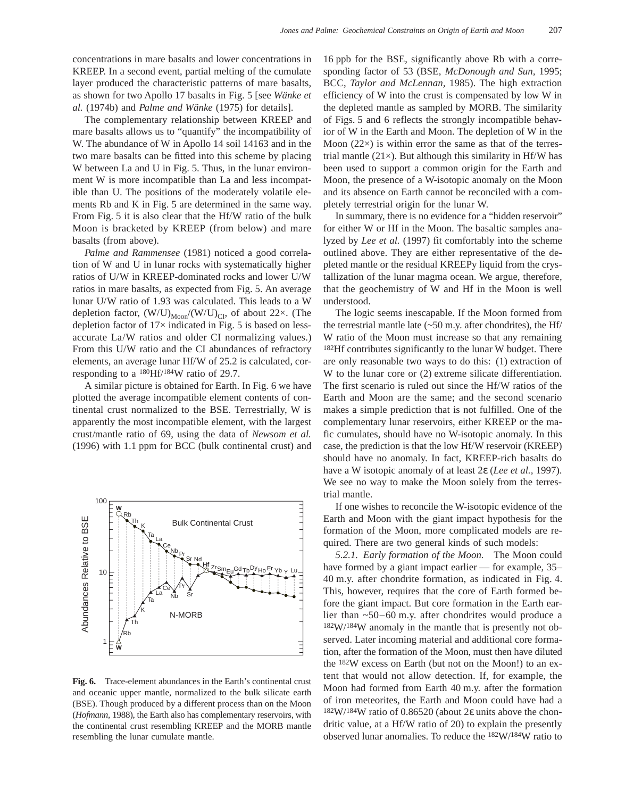concentrations in mare basalts and lower concentrations in KREEP. In a second event, partial melting of the cumulate layer produced the characteristic patterns of mare basalts, as shown for two Apollo 17 basalts in Fig. 5 [see *Wänke et al.* (1974b) and *Palme and Wänke* (1975) for details].

The complementary relationship between KREEP and mare basalts allows us to "quantify" the incompatibility of W. The abundance of W in Apollo 14 soil 14163 and in the two mare basalts can be fitted into this scheme by placing W between La and U in Fig. 5. Thus, in the lunar environment W is more incompatible than La and less incompatible than U. The positions of the moderately volatile elements Rb and K in Fig. 5 are determined in the same way. From Fig. 5 it is also clear that the Hf/W ratio of the bulk Moon is bracketed by KREEP (from below) and mare basalts (from above).

*Palme and Rammensee* (1981) noticed a good correlation of W and U in lunar rocks with systematically higher ratios of U/W in KREEP-dominated rocks and lower U/W ratios in mare basalts, as expected from Fig. 5. An average lunar U/W ratio of 1.93 was calculated. This leads to a W depletion factor,  $(W/U)_{Moon}/(W/U)_{CI}$ , of about 22×. (The depletion factor of  $17\times$  indicated in Fig. 5 is based on lessaccurate La/W ratios and older CI normalizing values.) From this U/W ratio and the CI abundances of refractory elements, an average lunar Hf/W of 25.2 is calculated, corresponding to a 180Hf/184W ratio of 29.7.

A similar picture is obtained for Earth. In Fig. 6 we have plotted the average incompatible element contents of continental crust normalized to the BSE. Terrestrially, W is apparently the most incompatible element, with the largest crust/mantle ratio of 69, using the data of *Newsom et al.* (1996) with 1.1 ppm for BCC (bulk continental crust) and



**Fig. 6.** Trace-element abundances in the Earth's continental crust and oceanic upper mantle, normalized to the bulk silicate earth (BSE). Though produced by a different process than on the Moon (*Hofmann,* 1988), the Earth also has complementary reservoirs, with the continental crust resembling KREEP and the MORB mantle resembling the lunar cumulate mantle.

16 ppb for the BSE, significantly above Rb with a corresponding factor of 53 (BSE, *McDonough and Sun,* 1995; BCC, *Taylor and McLennan,* 1985). The high extraction efficiency of W into the crust is compensated by low W in the depleted mantle as sampled by MORB. The similarity of Figs. 5 and 6 reflects the strongly incompatible behavior of W in the Earth and Moon. The depletion of W in the Moon  $(22\times)$  is within error the same as that of the terrestrial mantle  $(21\times)$ . But although this similarity in Hf/W has been used to support a common origin for the Earth and Moon, the presence of a W-isotopic anomaly on the Moon and its absence on Earth cannot be reconciled with a completely terrestrial origin for the lunar W.

In summary, there is no evidence for a "hidden reservoir" for either W or Hf in the Moon. The basaltic samples analyzed by *Lee et al.* (1997) fit comfortably into the scheme outlined above. They are either representative of the depleted mantle or the residual KREEPy liquid from the crystallization of the lunar magma ocean. We argue, therefore, that the geochemistry of W and Hf in the Moon is well understood.

The logic seems inescapable. If the Moon formed from the terrestrial mantle late  $({\sim}50 \text{ m}$ .y. after chondrites), the Hf/ W ratio of the Moon must increase so that any remaining 182Hf contributes significantly to the lunar W budget. There are only reasonable two ways to do this: (1) extraction of W to the lunar core or (2) extreme silicate differentiation. The first scenario is ruled out since the Hf/W ratios of the Earth and Moon are the same; and the second scenario makes a simple prediction that is not fulfilled. One of the complementary lunar reservoirs, either KREEP or the mafic cumulates, should have no W-isotopic anomaly. In this case, the prediction is that the low Hf/W reservoir (KREEP) should have no anomaly. In fact, KREEP-rich basalts do have a W isotopic anomaly of at least 2ε (*Lee et al.,* 1997). We see no way to make the Moon solely from the terrestrial mantle.

If one wishes to reconcile the W-isotopic evidence of the Earth and Moon with the giant impact hypothesis for the formation of the Moon, more complicated models are required. There are two general kinds of such models:

*5.2.1. Early formation of the Moon.* The Moon could have formed by a giant impact earlier — for example, 35– 40 m.y. after chondrite formation, as indicated in Fig. 4. This, however, requires that the core of Earth formed before the giant impact. But core formation in the Earth earlier than ~50–60 m.y. after chondrites would produce a 182W/184W anomaly in the mantle that is presently not observed. Later incoming material and additional core formation, after the formation of the Moon, must then have diluted the 182W excess on Earth (but not on the Moon!) to an extent that would not allow detection. If, for example, the Moon had formed from Earth 40 m.y. after the formation of iron meteorites, the Earth and Moon could have had a 182W/184W ratio of 0.86520 (about 2ε units above the chondritic value, at a Hf/W ratio of 20) to explain the presently observed lunar anomalies. To reduce the 182W/184W ratio to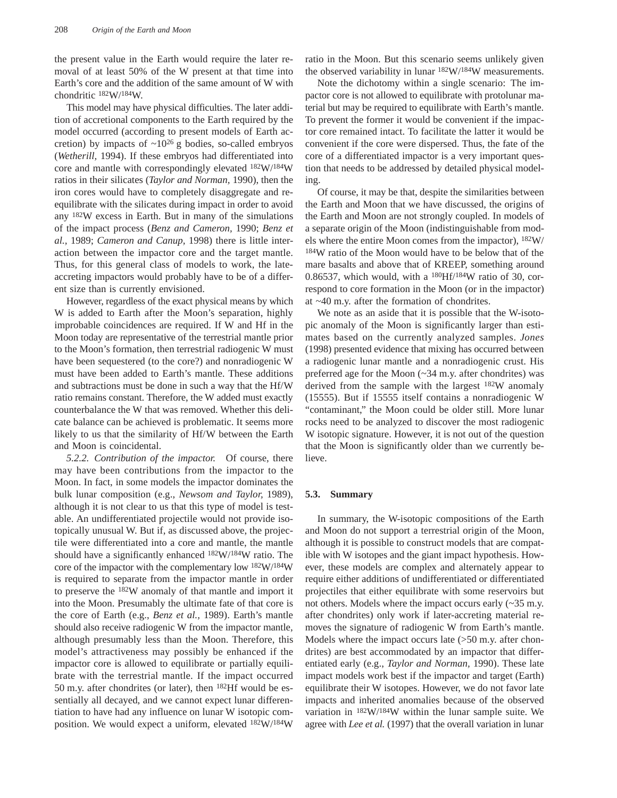the present value in the Earth would require the later removal of at least 50% of the W present at that time into Earth's core and the addition of the same amount of W with chondritic 182W/184W.

This model may have physical difficulties. The later addition of accretional components to the Earth required by the model occurred (according to present models of Earth accretion) by impacts of  $\sim 10^{26}$  g bodies, so-called embryos (*Wetherill,* 1994). If these embryos had differentiated into core and mantle with correspondingly elevated 182W/184W ratios in their silicates (*Taylor and Norman,* 1990), then the iron cores would have to completely disaggregate and reequilibrate with the silicates during impact in order to avoid any 182W excess in Earth. But in many of the simulations of the impact process (*Benz and Cameron,* 1990; *Benz et al.,* 1989; *Cameron and Canup,* 1998) there is little interaction between the impactor core and the target mantle. Thus, for this general class of models to work, the lateaccreting impactors would probably have to be of a different size than is currently envisioned.

However, regardless of the exact physical means by which W is added to Earth after the Moon's separation, highly improbable coincidences are required. If W and Hf in the Moon today are representative of the terrestrial mantle prior to the Moon's formation, then terrestrial radiogenic W must have been sequestered (to the core?) and nonradiogenic W must have been added to Earth's mantle. These additions and subtractions must be done in such a way that the Hf/W ratio remains constant. Therefore, the W added must exactly counterbalance the W that was removed. Whether this delicate balance can be achieved is problematic. It seems more likely to us that the similarity of Hf/W between the Earth and Moon is coincidental.

*5.2.2. Contribution of the impactor.* Of course, there may have been contributions from the impactor to the Moon. In fact, in some models the impactor dominates the bulk lunar composition (e.g., *Newsom and Taylor,* 1989), although it is not clear to us that this type of model is testable. An undifferentiated projectile would not provide isotopically unusual W. But if, as discussed above, the projectile were differentiated into a core and mantle, the mantle should have a significantly enhanced 182W/184W ratio. The core of the impactor with the complementary low 182W/184W is required to separate from the impactor mantle in order to preserve the 182W anomaly of that mantle and import it into the Moon. Presumably the ultimate fate of that core is the core of Earth (e.g., *Benz et al.,* 1989). Earth's mantle should also receive radiogenic W from the impactor mantle, although presumably less than the Moon. Therefore, this model's attractiveness may possibly be enhanced if the impactor core is allowed to equilibrate or partially equilibrate with the terrestrial mantle. If the impact occurred 50 m.y. after chondrites (or later), then 182Hf would be essentially all decayed, and we cannot expect lunar differentiation to have had any influence on lunar W isotopic composition. We would expect a uniform, elevated 182W/184W ratio in the Moon. But this scenario seems unlikely given the observed variability in lunar 182W/184W measurements.

Note the dichotomy within a single scenario: The impactor core is not allowed to equilibrate with protolunar material but may be required to equilibrate with Earth's mantle. To prevent the former it would be convenient if the impactor core remained intact. To facilitate the latter it would be convenient if the core were dispersed. Thus, the fate of the core of a differentiated impactor is a very important question that needs to be addressed by detailed physical modeling.

Of course, it may be that, despite the similarities between the Earth and Moon that we have discussed, the origins of the Earth and Moon are not strongly coupled. In models of a separate origin of the Moon (indistinguishable from models where the entire Moon comes from the impactor), 182W/ 184W ratio of the Moon would have to be below that of the mare basalts and above that of KREEP, something around 0.86537, which would, with a 180Hf/184W ratio of 30, correspond to core formation in the Moon (or in the impactor) at ~40 m.y. after the formation of chondrites.

We note as an aside that it is possible that the W-isotopic anomaly of the Moon is significantly larger than estimates based on the currently analyzed samples. *Jones* (1998) presented evidence that mixing has occurred between a radiogenic lunar mantle and a nonradiogenic crust. His preferred age for the Moon (~34 m.y. after chondrites) was derived from the sample with the largest 182W anomaly (15555). But if 15555 itself contains a nonradiogenic W "contaminant," the Moon could be older still*.* More lunar rocks need to be analyzed to discover the most radiogenic W isotopic signature. However, it is not out of the question that the Moon is significantly older than we currently believe.

### **5.3. Summary**

In summary, the W-isotopic compositions of the Earth and Moon do not support a terrestrial origin of the Moon, although it is possible to construct models that are compatible with W isotopes and the giant impact hypothesis. However, these models are complex and alternately appear to require either additions of undifferentiated or differentiated projectiles that either equilibrate with some reservoirs but not others. Models where the impact occurs early (~35 m.y. after chondrites) only work if later-accreting material removes the signature of radiogenic W from Earth's mantle. Models where the impact occurs late ( $>50$  m.y. after chondrites) are best accommodated by an impactor that differentiated early (e.g., *Taylor and Norman,* 1990). These late impact models work best if the impactor and target (Earth) equilibrate their W isotopes. However, we do not favor late impacts and inherited anomalies because of the observed variation in 182W/184W within the lunar sample suite. We agree with *Lee et al.* (1997) that the overall variation in lunar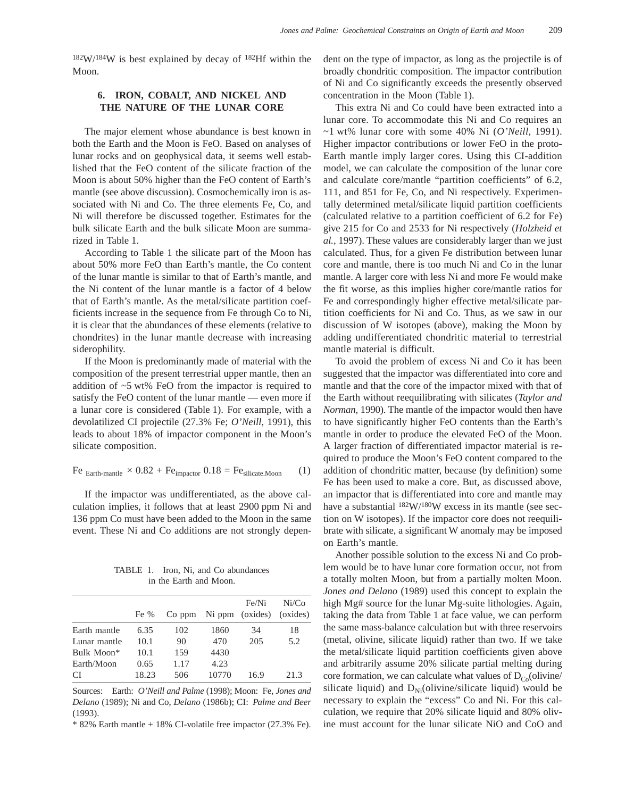182W/184W is best explained by decay of 182Hf within the Moon.

# **6. IRON, COBALT, AND NICKEL AND THE NATURE OF THE LUNAR CORE**

The major element whose abundance is best known in both the Earth and the Moon is FeO. Based on analyses of lunar rocks and on geophysical data, it seems well established that the FeO content of the silicate fraction of the Moon is about 50% higher than the FeO content of Earth's mantle (see above discussion). Cosmochemically iron is associated with Ni and Co. The three elements Fe, Co, and Ni will therefore be discussed together. Estimates for the bulk silicate Earth and the bulk silicate Moon are summarized in Table 1.

According to Table 1 the silicate part of the Moon has about 50% more FeO than Earth's mantle, the Co content of the lunar mantle is similar to that of Earth's mantle, and the Ni content of the lunar mantle is a factor of 4 below that of Earth's mantle. As the metal/silicate partition coefficients increase in the sequence from Fe through Co to Ni, it is clear that the abundances of these elements (relative to chondrites) in the lunar mantle decrease with increasing siderophility.

If the Moon is predominantly made of material with the composition of the present terrestrial upper mantle, then an addition of ~5 wt% FeO from the impactor is required to satisfy the FeO content of the lunar mantle — even more if a lunar core is considered (Table 1). For example, with a devolatilized CI projectile (27.3% Fe; *O'Neill,* 1991), this leads to about 18% of impactor component in the Moon's silicate composition.

$$
Fe_{Earth-mantle} \times 0.82 + Fe_{impactor} \cdot 0.18 = Fe_{silicate.Moon} \tag{1}
$$

If the impactor was undifferentiated, as the above calculation implies, it follows that at least 2900 ppm Ni and 136 ppm Co must have been added to the Moon in the same event. These Ni and Co additions are not strongly depen-

TABLE 1. Iron, Ni, and Co abundances in the Earth and Moon.

|              | Fe $%$ |      |       | Fe/Ni<br>Co ppm Ni ppm (oxides) (oxides) | Ni/Co |
|--------------|--------|------|-------|------------------------------------------|-------|
| Earth mantle | 6.35   | 102  | 1860  | 34                                       | 18    |
| Lunar mantle | 10.1   | 90   | 470   | 205                                      | 5.2   |
| Bulk Moon*   | 10.1   | 159  | 4430  |                                          |       |
| Earth/Moon   | 0.65   | 1.17 | 4.23  |                                          |       |
| СI           | 18.23  | 506  | 10770 | 16.9                                     | 21.3  |

Sources: Earth: *O'Neill and Palme* (1998); Moon: Fe, *Jones and Delano* (1989); Ni and Co, *Delano* (1986b); CI: *Palme and Beer* (1993).

\* 82% Earth mantle + 18% CI-volatile free impactor (27.3% Fe).

dent on the type of impactor, as long as the projectile is of broadly chondritic composition. The impactor contribution of Ni and Co significantly exceeds the presently observed concentration in the Moon (Table 1).

This extra Ni and Co could have been extracted into a lunar core. To accommodate this Ni and Co requires an ~1 wt% lunar core with some 40% Ni (*O'Neill,* 1991). Higher impactor contributions or lower FeO in the proto-Earth mantle imply larger cores. Using this CI-addition model, we can calculate the composition of the lunar core and calculate core/mantle "partition coefficients" of 6.2, 111, and 851 for Fe, Co, and Ni respectively. Experimentally determined metal/silicate liquid partition coefficients (calculated relative to a partition coefficient of 6.2 for Fe) give 215 for Co and 2533 for Ni respectively (*Holzheid et al.,* 1997). These values are considerably larger than we just calculated. Thus, for a given Fe distribution between lunar core and mantle, there is too much Ni and Co in the lunar mantle. A larger core with less Ni and more Fe would make the fit worse, as this implies higher core/mantle ratios for Fe and correspondingly higher effective metal/silicate partition coefficients for Ni and Co. Thus, as we saw in our discussion of W isotopes (above), making the Moon by adding undifferentiated chondritic material to terrestrial mantle material is difficult.

To avoid the problem of excess Ni and Co it has been suggested that the impactor was differentiated into core and mantle and that the core of the impactor mixed with that of the Earth without reequilibrating with silicates (*Taylor and Norman,* 1990). The mantle of the impactor would then have to have significantly higher FeO contents than the Earth's mantle in order to produce the elevated FeO of the Moon. A larger fraction of differentiated impactor material is required to produce the Moon's FeO content compared to the addition of chondritic matter, because (by definition) some Fe has been used to make a core. But, as discussed above, an impactor that is differentiated into core and mantle may have a substantial 182W/180W excess in its mantle (see section on W isotopes). If the impactor core does not reequilibrate with silicate, a significant W anomaly may be imposed on Earth's mantle.

Another possible solution to the excess Ni and Co problem would be to have lunar core formation occur, not from a totally molten Moon, but from a partially molten Moon. *Jones and Delano* (1989) used this concept to explain the high Mg# source for the lunar Mg-suite lithologies. Again, taking the data from Table 1 at face value, we can perform the same mass-balance calculation but with three reservoirs (metal, olivine, silicate liquid) rather than two. If we take the metal/silicate liquid partition coefficients given above and arbitrarily assume 20% silicate partial melting during core formation, we can calculate what values of  $D_{\text{Co}}(\text{olivine}/n)$ silicate liquid) and  $D_{Ni}$ (olivine/silicate liquid) would be necessary to explain the "excess" Co and Ni. For this calculation, we require that 20% silicate liquid and 80% olivine must account for the lunar silicate NiO and CoO and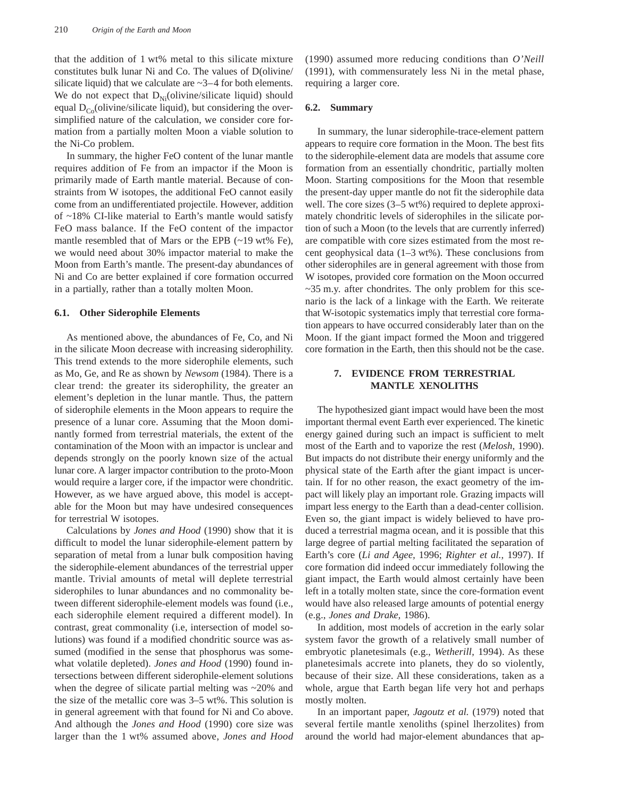that the addition of 1 wt% metal to this silicate mixture constitutes bulk lunar Ni and Co. The values of D(olivine/ silicate liquid) that we calculate are  $\sim$ 3–4 for both elements. We do not expect that  $D_{Ni}$ (olivine/silicate liquid) should equal  $D_{\text{Co}}$ (olivine/silicate liquid), but considering the oversimplified nature of the calculation, we consider core formation from a partially molten Moon a viable solution to the Ni-Co problem.

In summary, the higher FeO content of the lunar mantle requires addition of Fe from an impactor if the Moon is primarily made of Earth mantle material. Because of constraints from W isotopes, the additional FeO cannot easily come from an undifferentiated projectile. However, addition of ~18% CI-like material to Earth's mantle would satisfy FeO mass balance. If the FeO content of the impactor mantle resembled that of Mars or the EPB (~19 wt% Fe), we would need about 30% impactor material to make the Moon from Earth's mantle. The present-day abundances of Ni and Co are better explained if core formation occurred in a partially, rather than a totally molten Moon.

#### **6.1. Other Siderophile Elements**

As mentioned above, the abundances of Fe, Co, and Ni in the silicate Moon decrease with increasing siderophility. This trend extends to the more siderophile elements, such as Mo, Ge, and Re as shown by *Newsom* (1984). There is a clear trend: the greater its siderophility, the greater an element's depletion in the lunar mantle. Thus, the pattern of siderophile elements in the Moon appears to require the presence of a lunar core. Assuming that the Moon dominantly formed from terrestrial materials, the extent of the contamination of the Moon with an impactor is unclear and depends strongly on the poorly known size of the actual lunar core. A larger impactor contribution to the proto-Moon would require a larger core, if the impactor were chondritic. However, as we have argued above, this model is acceptable for the Moon but may have undesired consequences for terrestrial W isotopes.

Calculations by *Jones and Hood* (1990) show that it is difficult to model the lunar siderophile-element pattern by separation of metal from a lunar bulk composition having the siderophile-element abundances of the terrestrial upper mantle. Trivial amounts of metal will deplete terrestrial siderophiles to lunar abundances and no commonality between different siderophile-element models was found (i.e., each siderophile element required a different model). In contrast, great commonality (i.e, intersection of model solutions) was found if a modified chondritic source was assumed (modified in the sense that phosphorus was somewhat volatile depleted). *Jones and Hood* (1990) found intersections between different siderophile-element solutions when the degree of silicate partial melting was  $\sim$ 20% and the size of the metallic core was 3–5 wt%. This solution is in general agreement with that found for Ni and Co above. And although the *Jones and Hood* (1990) core size was larger than the 1 wt% assumed above, *Jones and Hood* (1990) assumed more reducing conditions than *O'Neill* (1991), with commensurately less Ni in the metal phase, requiring a larger core.

#### **6.2. Summary**

In summary, the lunar siderophile-trace-element pattern appears to require core formation in the Moon. The best fits to the siderophile-element data are models that assume core formation from an essentially chondritic, partially molten Moon. Starting compositions for the Moon that resemble the present-day upper mantle do not fit the siderophile data well. The core sizes (3–5 wt%) required to deplete approximately chondritic levels of siderophiles in the silicate portion of such a Moon (to the levels that are currently inferred) are compatible with core sizes estimated from the most recent geophysical data (1–3 wt%). These conclusions from other siderophiles are in general agreement with those from W isotopes, provided core formation on the Moon occurred  $\sim$ 35 m.y. after chondrites. The only problem for this scenario is the lack of a linkage with the Earth. We reiterate that W-isotopic systematics imply that terrestial core formation appears to have occurred considerably later than on the Moon. If the giant impact formed the Moon and triggered core formation in the Earth, then this should not be the case.

# **7. EVIDENCE FROM TERRESTRIAL MANTLE XENOLITHS**

The hypothesized giant impact would have been the most important thermal event Earth ever experienced. The kinetic energy gained during such an impact is sufficient to melt most of the Earth and to vaporize the rest (*Melosh,* 1990). But impacts do not distribute their energy uniformly and the physical state of the Earth after the giant impact is uncertain. If for no other reason, the exact geometry of the impact will likely play an important role. Grazing impacts will impart less energy to the Earth than a dead-center collision. Even so, the giant impact is widely believed to have produced a terrestrial magma ocean, and it is possible that this large degree of partial melting facilitated the separation of Earth's core (*Li and Agee,* 1996; *Righter et al.,* 1997). If core formation did indeed occur immediately following the giant impact, the Earth would almost certainly have been left in a totally molten state, since the core-formation event would have also released large amounts of potential energy (e.g., *Jones and Drake,* 1986).

In addition, most models of accretion in the early solar system favor the growth of a relatively small number of embryotic planetesimals (e.g., *Wetherill,* 1994). As these planetesimals accrete into planets, they do so violently, because of their size. All these considerations, taken as a whole, argue that Earth began life very hot and perhaps mostly molten.

In an important paper, *Jagoutz et al.* (1979) noted that several fertile mantle xenoliths (spinel lherzolites) from around the world had major-element abundances that ap-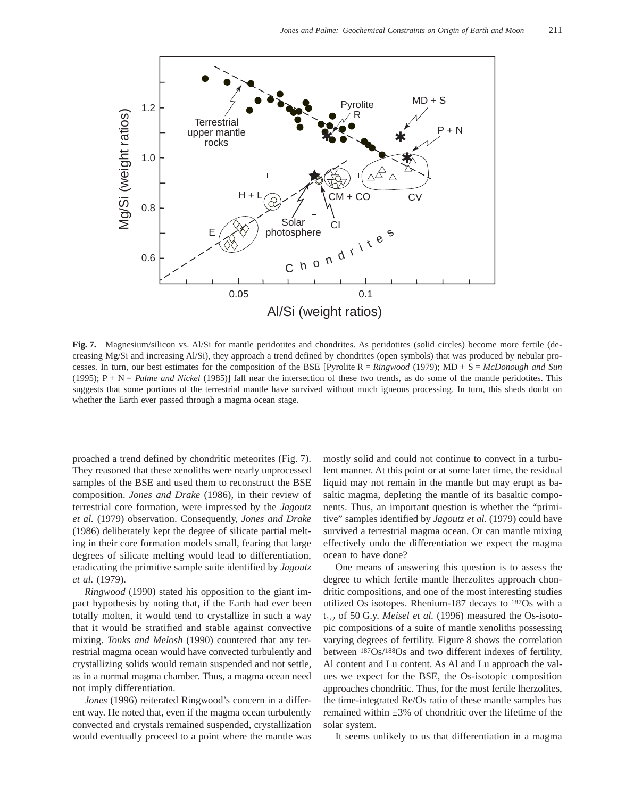

Fig. 7. Magnesium/silicon vs. Al/Si for mantle peridotites and chondrites. As peridotites (solid circles) become more fertile (decreasing Mg/Si and increasing Al/Si), they approach a trend defined by chondrites (open symbols) that was produced by nebular processes. In turn, our best estimates for the composition of the BSE [Pyrolite R = *Ringwood* (1979); MD + S = *McDonough and Sun* (1995); P + N = *Palme and Nickel* (1985)] fall near the intersection of these two trends, as do some of the mantle peridotites. This suggests that some portions of the terrestrial mantle have survived without much igneous processing. In turn, this sheds doubt on whether the Earth ever passed through a magma ocean stage.

proached a trend defined by chondritic meteorites (Fig. 7). They reasoned that these xenoliths were nearly unprocessed samples of the BSE and used them to reconstruct the BSE composition. *Jones and Drake* (1986), in their review of terrestrial core formation, were impressed by the *Jagoutz et al.* (1979) observation. Consequently, *Jones and Drake* (1986) deliberately kept the degree of silicate partial melting in their core formation models small, fearing that large degrees of silicate melting would lead to differentiation, eradicating the primitive sample suite identified by *Jagoutz et al.* (1979).

*Ringwood* (1990) stated his opposition to the giant impact hypothesis by noting that, if the Earth had ever been totally molten, it would tend to crystallize in such a way that it would be stratified and stable against convective mixing. *Tonks and Melosh* (1990) countered that any terrestrial magma ocean would have convected turbulently and crystallizing solids would remain suspended and not settle, as in a normal magma chamber. Thus, a magma ocean need not imply differentiation.

*Jones* (1996) reiterated Ringwood's concern in a different way. He noted that, even if the magma ocean turbulently convected and crystals remained suspended, crystallization would eventually proceed to a point where the mantle was

mostly solid and could not continue to convect in a turbulent manner. At this point or at some later time, the residual liquid may not remain in the mantle but may erupt as basaltic magma, depleting the mantle of its basaltic components. Thus, an important question is whether the "primitive" samples identified by *Jagoutz et al.* (1979) could have survived a terrestrial magma ocean. Or can mantle mixing effectively undo the differentiation we expect the magma ocean to have done?

One means of answering this question is to assess the degree to which fertile mantle lherzolites approach chondritic compositions, and one of the most interesting studies utilized Os isotopes. Rhenium-187 decays to 187Os with a  $t_{1/2}$  of 50 G.y. *Meisel et al.* (1996) measured the Os-isotopic compositions of a suite of mantle xenoliths possessing varying degrees of fertility. Figure 8 shows the correlation between 187Os/188Os and two different indexes of fertility, Al content and Lu content. As Al and Lu approach the values we expect for the BSE, the Os-isotopic composition approaches chondritic. Thus, for the most fertile lherzolites, the time-integrated Re/Os ratio of these mantle samples has remained within  $\pm 3\%$  of chondritic over the lifetime of the solar system.

It seems unlikely to us that differentiation in a magma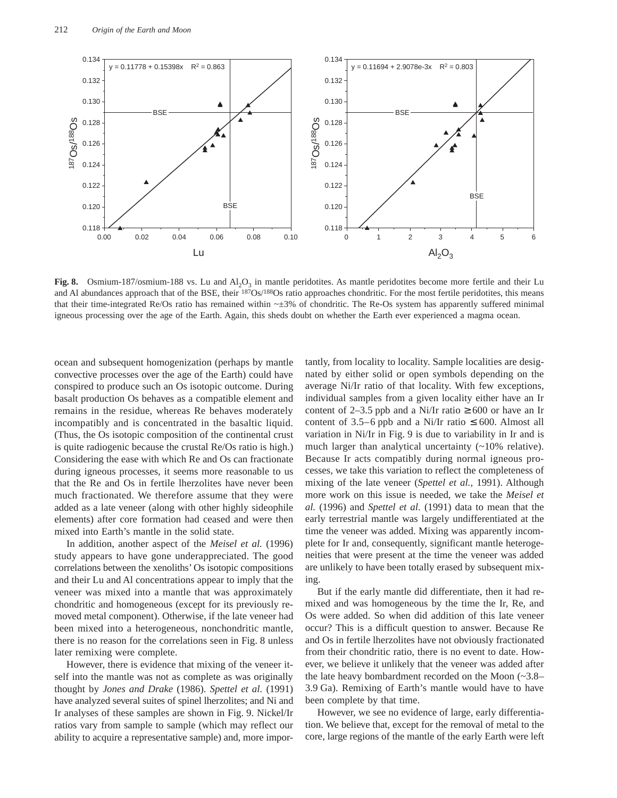

**Fig. 8.** Osmium-187/osmium-188 vs. Lu and  $A1_2O_3$  in mantle peridotites. As mantle peridotites become more fertile and their Lu and Al abundances approach that of the BSE, their <sup>187</sup>Os/<sup>188</sup>Os ratio approaches chondritic. For the most fertile peridotites, this means that their time-integrated Re/Os ratio has remained within ~±3% of chondritic. The Re-Os system has apparently suffered minimal igneous processing over the age of the Earth. Again, this sheds doubt on whether the Earth ever experienced a magma ocean.

ocean and subsequent homogenization (perhaps by mantle convective processes over the age of the Earth) could have conspired to produce such an Os isotopic outcome. During basalt production Os behaves as a compatible element and remains in the residue, whereas Re behaves moderately incompatibly and is concentrated in the basaltic liquid. (Thus, the Os isotopic composition of the continental crust is quite radiogenic because the crustal Re/Os ratio is high.) Considering the ease with which Re and Os can fractionate during igneous processes, it seems more reasonable to us that the Re and Os in fertile lherzolites have never been much fractionated. We therefore assume that they were added as a late veneer (along with other highly sideophile elements) after core formation had ceased and were then mixed into Earth's mantle in the solid state.

In addition, another aspect of the *Meisel et al.* (1996) study appears to have gone underappreciated. The good correlations between the xenoliths' Os isotopic compositions and their Lu and Al concentrations appear to imply that the veneer was mixed into a mantle that was approximately chondritic and homogeneous (except for its previously removed metal component). Otherwise, if the late veneer had been mixed into a heterogeneous, nonchondritic mantle, there is no reason for the correlations seen in Fig. 8 unless later remixing were complete.

However, there is evidence that mixing of the veneer itself into the mantle was not as complete as was originally thought by *Jones and Drake* (1986). *Spettel et al.* (1991) have analyzed several suites of spinel lherzolites; and Ni and Ir analyses of these samples are shown in Fig. 9. Nickel/Ir ratios vary from sample to sample (which may reflect our ability to acquire a representative sample) and, more importantly, from locality to locality. Sample localities are designated by either solid or open symbols depending on the average Ni/Ir ratio of that locality. With few exceptions, individual samples from a given locality either have an Ir content of 2–3.5 ppb and a Ni/Ir ratio  $\geq 600$  or have an Ir content of 3.5–6 ppb and a Ni/Ir ratio  $\leq$  600. Almost all variation in Ni/Ir in Fig. 9 is due to variability in Ir and is much larger than analytical uncertainty (~10% relative). Because Ir acts compatibly during normal igneous processes, we take this variation to reflect the completeness of mixing of the late veneer (*Spettel et al.,* 1991). Although more work on this issue is needed, we take the *Meisel et al.* (1996) and *Spettel et al.* (1991) data to mean that the early terrestrial mantle was largely undifferentiated at the time the veneer was added. Mixing was apparently incomplete for Ir and, consequently, significant mantle heterogeneities that were present at the time the veneer was added are unlikely to have been totally erased by subsequent mixing.

But if the early mantle did differentiate, then it had remixed and was homogeneous by the time the Ir, Re, and Os were added. So when did addition of this late veneer occur? This is a difficult question to answer. Because Re and Os in fertile lherzolites have not obviously fractionated from their chondritic ratio, there is no event to date. However, we believe it unlikely that the veneer was added after the late heavy bombardment recorded on the Moon (~3.8– 3.9 Ga). Remixing of Earth's mantle would have to have been complete by that time.

However, we see no evidence of large, early differentiation. We believe that, except for the removal of metal to the core, large regions of the mantle of the early Earth were left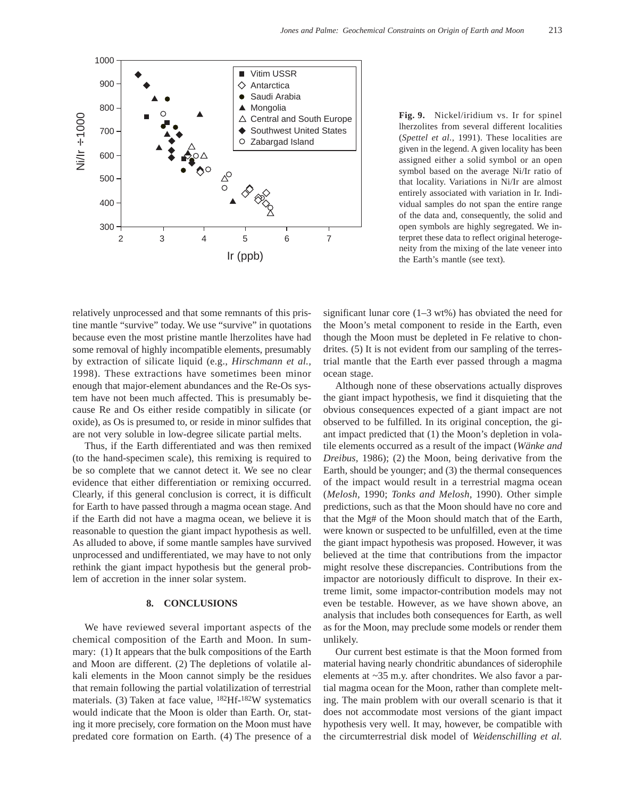

**Fig. 9.** Nickel/iridium vs. Ir for spinel lherzolites from several different localities (*Spettel et al.,* 1991). These localities are given in the legend. A given locality has been assigned either a solid symbol or an open symbol based on the average Ni/Ir ratio of that locality. Variations in Ni/Ir are almost entirely associated with variation in Ir. Individual samples do not span the entire range of the data and, consequently, the solid and open symbols are highly segregated. We interpret these data to reflect original heterogeneity from the mixing of the late veneer into the Earth's mantle (see text).

relatively unprocessed and that some remnants of this pristine mantle "survive" today. We use "survive" in quotations because even the most pristine mantle lherzolites have had some removal of highly incompatible elements, presumably by extraction of silicate liquid (e.g., *Hirschmann et al.,* 1998). These extractions have sometimes been minor enough that major-element abundances and the Re-Os system have not been much affected. This is presumably because Re and Os either reside compatibly in silicate (or oxide), as Os is presumed to, or reside in minor sulfides that are not very soluble in low-degree silicate partial melts.

Thus, if the Earth differentiated and was then remixed (to the hand-specimen scale), this remixing is required to be so complete that we cannot detect it. We see no clear evidence that either differentiation or remixing occurred. Clearly, if this general conclusion is correct, it is difficult for Earth to have passed through a magma ocean stage. And if the Earth did not have a magma ocean, we believe it is reasonable to question the giant impact hypothesis as well. As alluded to above, if some mantle samples have survived unprocessed and undifferentiated, we may have to not only rethink the giant impact hypothesis but the general problem of accretion in the inner solar system.

#### **8. CONCLUSIONS**

We have reviewed several important aspects of the chemical composition of the Earth and Moon. In summary: (1) It appears that the bulk compositions of the Earth and Moon are different. (2) The depletions of volatile alkali elements in the Moon cannot simply be the residues that remain following the partial volatilization of terrestrial materials. (3) Taken at face value, 182Hf-182W systematics would indicate that the Moon is older than Earth. Or, stating it more precisely, core formation on the Moon must have predated core formation on Earth. (4) The presence of a

significant lunar core (1–3 wt%) has obviated the need for the Moon's metal component to reside in the Earth, even though the Moon must be depleted in Fe relative to chondrites. (5) It is not evident from our sampling of the terrestrial mantle that the Earth ever passed through a magma ocean stage.

Although none of these observations actually disproves the giant impact hypothesis, we find it disquieting that the obvious consequences expected of a giant impact are not observed to be fulfilled. In its original conception, the giant impact predicted that (1) the Moon's depletion in volatile elements occurred as a result of the impact (*Wänke and Dreibus,* 1986); (2) the Moon, being derivative from the Earth, should be younger; and (3) the thermal consequences of the impact would result in a terrestrial magma ocean (*Melosh,* 1990; *Tonks and Melosh,* 1990). Other simple predictions, such as that the Moon should have no core and that the Mg# of the Moon should match that of the Earth, were known or suspected to be unfulfilled, even at the time the giant impact hypothesis was proposed. However, it was believed at the time that contributions from the impactor might resolve these discrepancies. Contributions from the impactor are notoriously difficult to disprove. In their extreme limit, some impactor-contribution models may not even be testable. However, as we have shown above, an analysis that includes both consequences for Earth, as well as for the Moon, may preclude some models or render them unlikely.

Our current best estimate is that the Moon formed from material having nearly chondritic abundances of siderophile elements at ~35 m.y. after chondrites. We also favor a partial magma ocean for the Moon, rather than complete melting. The main problem with our overall scenario is that it does not accommodate most versions of the giant impact hypothesis very well. It may, however, be compatible with the circumterrestrial disk model of *Weidenschilling et al.*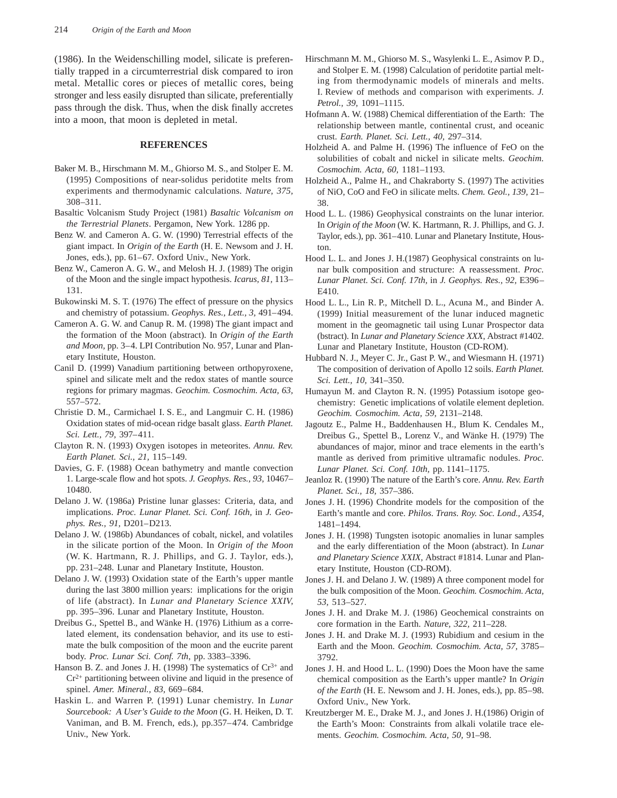(1986). In the Weidenschilling model, silicate is preferentially trapped in a circumterrestrial disk compared to iron metal. Metallic cores or pieces of metallic cores, being stronger and less easily disrupted than silicate, preferentially pass through the disk. Thus, when the disk finally accretes into a moon, that moon is depleted in metal.

## **REFERENCES**

- Baker M. B., Hirschmann M. M., Ghiorso M. S., and Stolper E. M. (1995) Compositions of near-solidus peridotite melts from experiments and thermodynamic calculations. *Nature, 375,* 308–311.
- Basaltic Volcanism Study Project (1981) *Basaltic Volcanism on the Terrestrial Planets*. Pergamon, New York. 1286 pp.
- Benz W. and Cameron A. G. W. (1990) Terrestrial effects of the giant impact. In *Origin of the Earth* (H. E. Newsom and J. H. Jones, eds.), pp. 61–67. Oxford Univ., New York.
- Benz W., Cameron A. G. W., and Melosh H. J. (1989) The origin of the Moon and the single impact hypothesis. *Icarus, 81,* 113– 131.
- Bukowinski M. S. T. (1976) The effect of pressure on the physics and chemistry of potassium. *Geophys. Res., Lett., 3,* 491–494.
- Cameron A. G. W. and Canup R. M. (1998) The giant impact and the formation of the Moon (abstract). In *Origin of the Earth and Moon,* pp. 3–4. LPI Contribution No. 957, Lunar and Planetary Institute, Houston.
- Canil D. (1999) Vanadium partitioning between orthopyroxene, spinel and silicate melt and the redox states of mantle source regions for primary magmas. *Geochim. Cosmochim. Acta, 63,* 557–572.
- Christie D. M., Carmichael I. S. E., and Langmuir C. H. (1986) Oxidation states of mid-ocean ridge basalt glass. *Earth Planet. Sci. Lett., 79,* 397–411.
- Clayton R. N. (1993) Oxygen isotopes in meteorites. *Annu. Rev. Earth Planet. Sci., 21,* 115–149.
- Davies, G. F. (1988) Ocean bathymetry and mantle convection 1. Large-scale flow and hot spots. *J. Geophys. Res., 93,* 10467– 10480.
- Delano J. W. (1986a) Pristine lunar glasses: Criteria, data, and implications. *Proc. Lunar Planet. Sci. Conf. 16th,* in *J. Geophys. Res., 91,* D201–D213.
- Delano J. W. (1986b) Abundances of cobalt, nickel, and volatiles in the silicate portion of the Moon. In *Origin of the Moon* (W. K. Hartmann, R. J. Phillips, and G. J. Taylor, eds.), pp. 231–248. Lunar and Planetary Institute, Houston.
- Delano J. W. (1993) Oxidation state of the Earth's upper mantle during the last 3800 million years: implications for the origin of life (abstract). In *Lunar and Planetary Science XXIV,* pp. 395–396. Lunar and Planetary Institute, Houston.
- Dreibus G., Spettel B., and Wänke H. (1976) Lithium as a correlated element, its condensation behavior, and its use to estimate the bulk composition of the moon and the eucrite parent body. *Proc. Lunar Sci. Conf. 7th*, pp. 3383–3396.
- Hanson B. Z. and Jones J. H. (1998) The systematics of Cr<sup>3+</sup> and  $Cr^{2+}$  partitioning between olivine and liquid in the presence of spinel. *Amer. Mineral., 83,* 669–684.
- Haskin L. and Warren P. (1991) Lunar chemistry. In *Lunar Sourcebook: A User's Guide to the Moon* (G. H. Heiken, D. T. Vaniman, and B. M. French, eds.), pp.357–474. Cambridge Univ., New York.
- Hirschmann M. M., Ghiorso M. S., Wasylenki L. E., Asimov P. D., and Stolper E. M. (1998) Calculation of peridotite partial melting from thermodynamic models of minerals and melts. I. Review of methods and comparison with experiments. *J. Petrol., 39,* 1091–1115.
- Hofmann A. W. (1988) Chemical differentiation of the Earth: The relationship between mantle, continental crust, and oceanic crust. *Earth. Planet. Sci. Lett., 40,* 297–314.
- Holzheid A. and Palme H. (1996) The influence of FeO on the solubilities of cobalt and nickel in silicate melts. *Geochim. Cosmochim. Acta, 60,* 1181–1193.
- Holzheid A., Palme H., and Chakraborty S. (1997) The activities of NiO, CoO and FeO in silicate melts. *Chem. Geol., 139,* 21– 38.
- Hood L. L. (1986) Geophysical constraints on the lunar interior. In *Origin of the Moon* (W. K. Hartmann, R. J. Phillips, and G. J. Taylor, eds.), pp. 361–410. Lunar and Planetary Institute, Houston.
- Hood L. L. and Jones J. H.(1987) Geophysical constraints on lunar bulk composition and structure: A reassessment. *Proc. Lunar Planet. Sci. Conf. 17th,* in *J. Geophys. Res., 92,* E396– E410.
- Hood L. L., Lin R. P., Mitchell D. L., Acuna M., and Binder A. (1999) Initial measurement of the lunar induced magnetic moment in the geomagnetic tail using Lunar Prospector data (bstract). In *Lunar and Planetary Science XXX,* Abstract #1402. Lunar and Planetary Institute, Houston (CD-ROM).
- Hubbard N. J., Meyer C. Jr., Gast P. W., and Wiesmann H. (1971) The composition of derivation of Apollo 12 soils. *Earth Planet. Sci. Lett., 10,* 341–350.
- Humayun M. and Clayton R. N. (1995) Potassium isotope geochemistry: Genetic implications of volatile element depletion. *Geochim. Cosmochim. Acta, 59,* 2131–2148.
- Jagoutz E., Palme H., Baddenhausen H., Blum K. Cendales M., Dreibus G., Spettel B., Lorenz V., and Wänke H. (1979) The abundances of major, minor and trace elements in the earth's mantle as derived from primitive ultramafic nodules. *Proc. Lunar Planet. Sci. Conf. 10th,* pp. 1141–1175.
- Jeanloz R. (1990) The nature of the Earth's core. *Annu. Rev. Earth Planet. Sci., 18,* 357–386.
- Jones J. H. (1996) Chondrite models for the composition of the Earth's mantle and core. *Philos. Trans. Roy. Soc. Lond., A354,* 1481–1494.
- Jones J. H. (1998) Tungsten isotopic anomalies in lunar samples and the early differentiation of the Moon (abstract). In *Lunar and Planetary Science XXIX,* Abstract #1814. Lunar and Planetary Institute, Houston (CD-ROM).
- Jones J. H. and Delano J. W. (1989) A three component model for the bulk composition of the Moon. *Geochim. Cosmochim. Acta, 53,* 513–527.
- Jones J. H. and Drake M. J. (1986) Geochemical constraints on core formation in the Earth. *Nature, 322,* 211–228.
- Jones J. H. and Drake M. J. (1993) Rubidium and cesium in the Earth and the Moon. *Geochim. Cosmochim. Acta, 57,* 3785– 3792.
- Jones J. H. and Hood L. L. (1990) Does the Moon have the same chemical composition as the Earth's upper mantle? In *Origin of the Earth* (H. E. Newsom and J. H. Jones, eds.), pp. 85–98. Oxford Univ., New York.
- Kreutzberger M. E., Drake M. J., and Jones J. H.(1986) Origin of the Earth's Moon: Constraints from alkali volatile trace elements. *Geochim. Cosmochim. Acta, 50,* 91–98.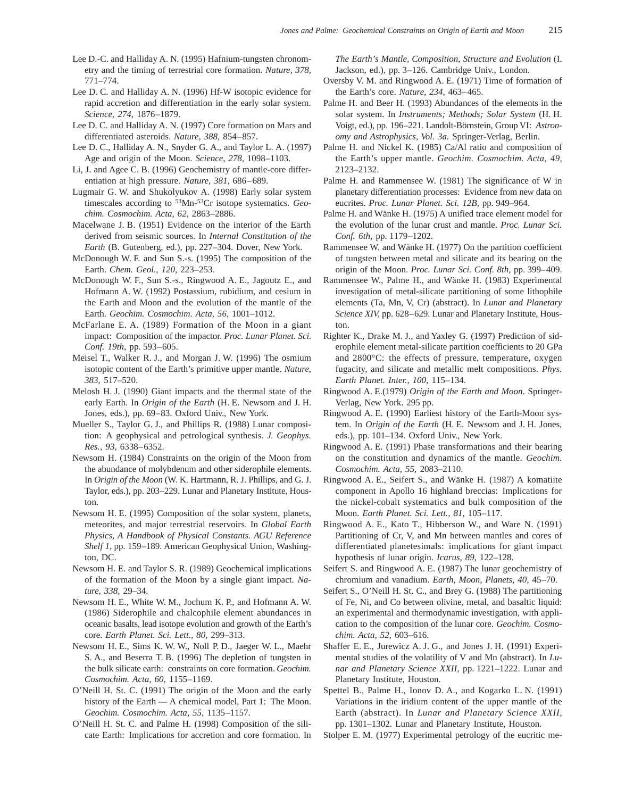Lee D.-C. and Halliday A. N. (1995) Hafnium-tungsten chronometry and the timing of terrestrial core formation. *Nature, 378,* 771–774.

Lee D. C. and Halliday A. N. (1996) Hf-W isotopic evidence for rapid accretion and differentiation in the early solar system. *Science, 274,* 1876–1879.

Lee D. C. and Halliday A. N. (1997) Core formation on Mars and differentiated asteroids. *Nature, 388,* 854–857.

Lee D. C., Halliday A. N., Snyder G. A., and Taylor L. A. (1997) Age and origin of the Moon. *Science, 278,* 1098–1103.

Li, J. and Agee C. B. (1996) Geochemistry of mantle-core differentiation at high pressure. *Nature, 381,* 686–689.

Lugmair G. W. and Shukolyukov A. (1998) Early solar system timescales according to 53Mn-53Cr isotope systematics. *Geochim. Cosmochim. Acta, 62,* 2863–2886.

Macelwane J. B. (1951) Evidence on the interior of the Earth derived from seismic sources. In *Internal Constitution of the Earth* (B. Gutenberg, ed.), pp. 227–304. Dover, New York.

McDonough W. F. and Sun S.-s. (1995) The composition of the Earth. *Chem. Geol., 120,* 223–253.

McDonough W. F., Sun S.-s., Ringwood A. E., Jagoutz E., and Hofmann A. W. (1992) Postassium, rubidium, and cesium in the Earth and Moon and the evolution of the mantle of the Earth. *Geochim. Cosmochim. Acta, 56,* 1001–1012.

McFarlane E. A. (1989) Formation of the Moon in a giant impact: Composition of the impactor. *Proc. Lunar Planet. Sci. Conf. 19th,* pp. 593–605.

Meisel T., Walker R. J., and Morgan J. W. (1996) The osmium isotopic content of the Earth's primitive upper mantle. *Nature, 383,* 517–520.

Melosh H. J. (1990) Giant impacts and the thermal state of the early Earth. In *Origin of the Earth* (H. E. Newsom and J. H. Jones, eds.), pp. 69–83. Oxford Univ., New York.

Mueller S., Taylor G. J., and Phillips R. (1988) Lunar composition: A geophysical and petrological synthesis. *J. Geophys. Res., 93,* 6338–6352.

Newsom H. (1984) Constraints on the origin of the Moon from the abundance of molybdenum and other siderophile elements. In *Origin of the Moon* (W. K. Hartmann, R. J. Phillips, and G. J. Taylor, eds.), pp. 203–229. Lunar and Planetary Institute, Houston.

Newsom H. E. (1995) Composition of the solar system, planets, meteorites, and major terrestrial reservoirs. In *Global Earth Physics, A Handbook of Physical Constants. AGU Reference Shelf 1*, pp. 159–189. American Geophysical Union, Washington, DC.

Newsom H. E. and Taylor S. R. (1989) Geochemical implications of the formation of the Moon by a single giant impact. *Nature, 338,* 29–34.

Newsom H. E., White W. M., Jochum K. P., and Hofmann A. W. (1986) Siderophile and chalcophile element abundances in oceanic basalts, lead isotope evolution and growth of the Earth's core. *Earth Planet. Sci. Lett., 80,* 299–313.

Newsom H. E., Sims K. W. W., Noll P. D., Jaeger W. L., Maehr S. A., and Beserra T. B. (1996) The depletion of tungsten in the bulk silicate earth: constraints on core formation. *Geochim. Cosmochim. Acta, 60,* 1155–1169.

O'Neill H. St. C. (1991) The origin of the Moon and the early history of the Earth — A chemical model, Part 1: The Moon. *Geochim. Cosmochim. Acta, 55,* 1135–1157.

O'Neill H. St. C. and Palme H. (1998) Composition of the silicate Earth: Implications for accretion and core formation. In *The Earth's Mantle, Composition, Structure and Evolution* (I. Jackson, ed.), pp. 3–126. Cambridge Univ., London.

Oversby V. M. and Ringwood A. E. (1971) Time of formation of the Earth's core. *Nature, 234,* 463–465.

Palme H. and Beer H. (1993) Abundances of the elements in the solar system. In *Instruments; Methods; Solar System* (H. H. Voigt, ed.), pp. 196–221. Landolt-Börnstein, Group VI: *Astronomy and Astrophysics, Vol. 3a.* Springer-Verlag, Berlin.

Palme H. and Nickel K. (1985) Ca/Al ratio and composition of the Earth's upper mantle. *Geochim. Cosmochim. Acta, 49,* 2123–2132.

Palme H. and Rammensee W. (1981) The significance of W in planetary differentiation processes: Evidence from new data on eucrites. *Proc. Lunar Planet. Sci. 12B*, pp. 949–964.

Palme H. and Wänke H. (1975) A unified trace element model for the evolution of the lunar crust and mantle. *Proc. Lunar Sci. Conf. 6th,* pp. 1179–1202.

Rammensee W. and Wänke H. (1977) On the partition coefficient of tungsten between metal and silicate and its bearing on the origin of the Moon. *Proc. Lunar Sci. Conf. 8th,* pp. 399–409.

Rammensee W., Palme H., and Wänke H. (1983) Experimental investigation of metal-silicate partitioning of some lithophile elements (Ta, Mn, V, Cr) (abstract). In *Lunar and Planetary Science XIV,* pp. 628–629. Lunar and Planetary Institute, Houston.

Righter K., Drake M. J., and Yaxley G. (1997) Prediction of siderophile element metal-silicate partition coefficients to 20 GPa and 2800°C: the effects of pressure, temperature, oxygen fugacity, and silicate and metallic melt compositions. *Phys. Earth Planet. Inter., 100,* 115–134.

Ringwood A. E.(1979) *Origin of the Earth and Moon*. Springer-Verlag, New York. 295 pp.

Ringwood A. E. (1990) Earliest history of the Earth-Moon system. In *Origin of the Earth* (H. E. Newsom and J. H. Jones, eds.), pp. 101–134. Oxford Univ., New York.

Ringwood A. E. (1991) Phase transformations and their bearing on the constitution and dynamics of the mantle. *Geochim. Cosmochim. Acta, 55,* 2083–2110.

Ringwood A. E., Seifert S., and Wänke H. (1987) A komatiite component in Apollo 16 highland breccias: Implications for the nickel-cobalt systematics and bulk composition of the Moon. *Earth Planet. Sci. Lett., 81,* 105–117.

Ringwood A. E., Kato T., Hibberson W., and Ware N. (1991) Partitioning of Cr, V, and Mn between mantles and cores of differentiated planetesimals: implications for giant impact hypothesis of lunar origin. *Icarus, 89,* 122–128.

Seifert S. and Ringwood A. E. (1987) The lunar geochemistry of chromium and vanadium. *Earth, Moon, Planets, 40,* 45–70.

Seifert S., O'Neill H. St. C., and Brey G. (1988) The partitioning of Fe, Ni, and Co between olivine, metal, and basaltic liquid: an experimental and thermodynamic investigation, with application to the composition of the lunar core. *Geochim. Cosmochim. Acta, 52,* 603–616.

Shaffer E. E., Jurewicz A. J. G., and Jones J. H. (1991) Experimental studies of the volatility of V and Mn (abstract). In *Lunar and Planetary Science XXII,* pp. 1221–1222. Lunar and Planetary Institute, Houston.

Spettel B., Palme H., Ionov D. A., and Kogarko L. N. (1991) Variations in the iridium content of the upper mantle of the Earth (abstract). In *Lunar and Planetary Science XXII,* pp. 1301–1302. Lunar and Planetary Institute, Houston.

Stolper E. M. (1977) Experimental petrology of the eucritic me-